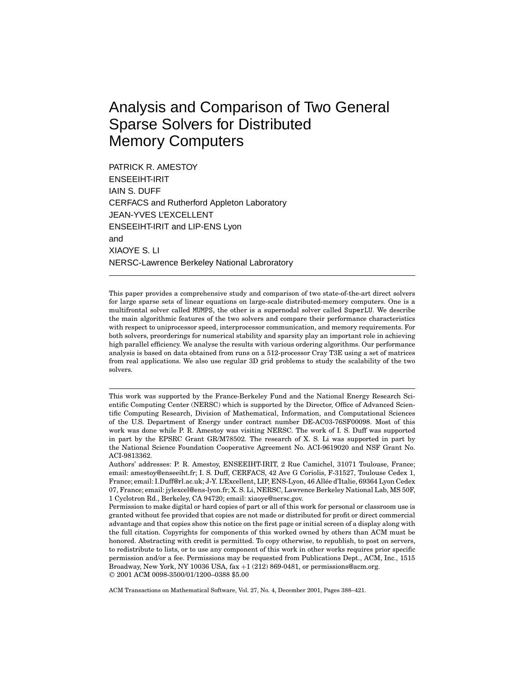# Analysis and Comparison of Two General Sparse Solvers for Distributed Memory Computers

PATRICK R. AMESTOY ENSEEIHT-IRIT IAIN S. DUFF CERFACS and Rutherford Appleton Laboratory JEAN-YVES L'EXCELLENT ENSEEIHT-IRIT and LIP-ENS Lyon and XIAOYE S. LI NERSC-Lawrence Berkeley National Labroratory

This paper provides a comprehensive study and comparison of two state-of-the-art direct solvers for large sparse sets of linear equations on large-scale distributed-memory computers. One is a multifrontal solver called MUMPS, the other is a supernodal solver called SuperLU. We describe the main algorithmic features of the two solvers and compare their performance characteristics with respect to uniprocessor speed, interprocessor communication, and memory requirements. For both solvers, preorderings for numerical stability and sparsity play an important role in achieving high parallel efficiency. We analyse the results with various ordering algorithms. Our performance analysis is based on data obtained from runs on a 512-processor Cray T3E using a set of matrices from real applications. We also use regular 3D grid problems to study the scalability of the two solvers.

This work was supported by the France-Berkeley Fund and the National Energy Research Scientific Computing Center (NERSC) which is supported by the Director, Office of Advanced Scientific Computing Research, Division of Mathematical, Information, and Computational Sciences of the U.S. Department of Energy under contract number DE-AC03-76SF00098. Most of this work was done while P. R. Amestoy was visiting NERSC. The work of I. S. Duff was supported in part by the EPSRC Grant GR/M78502. The research of X. S. Li was supported in part by the National Science Foundation Cooperative Agreement No. ACI-9619020 and NSF Grant No. ACI-9813362.

Authors' addresses: P. R. Amestoy, ENSEEIHT-IRIT, 2 Rue Camichel, 31071 Toulouse, France; email: amestoy@enseeiht.fr; I. S. Duff, CERFACS, 42 Ave G Coriolis, F-31527, Toulouse Cedex 1, France; email: I.Duff@rl.ac.uk; J-Y. L'Excellent, LIP, ENS-Lyon, 46 Allee d'Italie, 69364 Lyon Cedex ´ 07, France; email: jylexcel@ens-lyon.fr; X. S. Li, NERSC, Lawrence Berkeley National Lab, MS 50F, 1 Cyclotron Rd., Berkeley, CA 94720; email: xiaoye@nersc.gov.

Permission to make digital or hard copies of part or all of this work for personal or classroom use is granted without fee provided that copies are not made or distributed for profit or direct commercial advantage and that copies show this notice on the first page or initial screen of a display along with the full citation. Copyrights for components of this worked owned by others than ACM must be honored. Abstracting with credit is permitted. To copy otherwise, to republish, to post on servers, to redistribute to lists, or to use any component of this work in other works requires prior specific permission and/or a fee. Permissions may be requested from Publications Dept., ACM, Inc., 1515 Broadway, New York, NY 10036 USA,  $\text{fix} +1$  (212) 869-0481, or permissions@acm.org. <sup>C</sup> 2001 ACM 0098-3500/01/1200–0388 \$5.00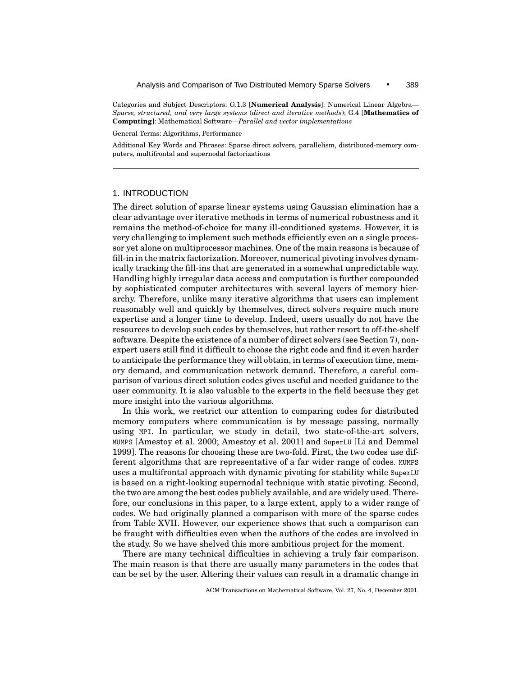Categories and Subject Descriptors: G.1.3 [**Numerical Analysis**]: Numerical Linear Algebra— *Sparse, structured, and very large systems* (*direct and iterative methods*); G.4 [**Mathematics of Computing**]: Mathematical Software—*Parallel and vector implementations*

General Terms: Algorithms, Performance

Additional Key Words and Phrases: Sparse direct solvers, parallelism, distributed-memory computers, multifrontal and supernodal factorizations

#### 1. INTRODUCTION

The direct solution of sparse linear systems using Gaussian elimination has a clear advantage over iterative methods in terms of numerical robustness and it remains the method-of-choice for many ill-conditioned systems. However, it is very challenging to implement such methods efficiently even on a single processor yet alone on multiprocessor machines. One of the main reasons is because of fill-in in the matrix factorization. Moreover, numerical pivoting involves dynamically tracking the fill-ins that are generated in a somewhat unpredictable way. Handling highly irregular data access and computation is further compounded by sophisticated computer architectures with several layers of memory hierarchy. Therefore, unlike many iterative algorithms that users can implement reasonably well and quickly by themselves, direct solvers require much more expertise and a longer time to develop. Indeed, users usually do not have the resources to develop such codes by themselves, but rather resort to off-the-shelf software. Despite the existence of a number of direct solvers (see Section 7), nonexpert users still find it difficult to choose the right code and find it even harder to anticipate the performance they will obtain, in terms of execution time, memory demand, and communication network demand. Therefore, a careful comparison of various direct solution codes gives useful and needed guidance to the user community. It is also valuable to the experts in the field because they get more insight into the various algorithms.

In this work, we restrict our attention to comparing codes for distributed memory computers where communication is by message passing, normally using MPI. In particular, we study in detail, two state-of-the-art solvers, MUMPS [Amestoy et al. 2000; Amestoy et al. 2001] and SuperLU [Li and Demmel 1999]. The reasons for choosing these are two-fold. First, the two codes use different algorithms that are representative of a far wider range of codes. MUMPS uses a multifrontal approach with dynamic pivoting for stability while SuperLU is based on a right-looking supernodal technique with static pivoting. Second, the two are among the best codes publicly available, and are widely used. Therefore, our conclusions in this paper, to a large extent, apply to a wider range of codes. We had originally planned a comparison with more of the sparse codes from Table XVII. However, our experience shows that such a comparison can be fraught with difficulties even when the authors of the codes are involved in the study. So we have shelved this more ambitious project for the moment.

There are many technical difficulties in achieving a truly fair comparison. The main reason is that there are usually many parameters in the codes that can be set by the user. Altering their values can result in a dramatic change in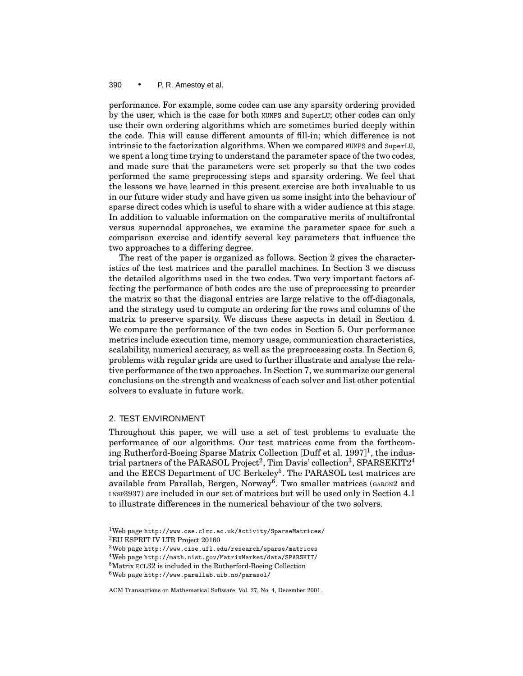performance. For example, some codes can use any sparsity ordering provided by the user, which is the case for both MUMPS and SuperLU; other codes can only use their own ordering algorithms which are sometimes buried deeply within the code. This will cause different amounts of fill-in; which difference is not intrinsic to the factorization algorithms. When we compared MUMPS and SuperLU, we spent a long time trying to understand the parameter space of the two codes, and made sure that the parameters were set properly so that the two codes performed the same preprocessing steps and sparsity ordering. We feel that the lessons we have learned in this present exercise are both invaluable to us in our future wider study and have given us some insight into the behaviour of sparse direct codes which is useful to share with a wider audience at this stage. In addition to valuable information on the comparative merits of multifrontal versus supernodal approaches, we examine the parameter space for such a comparison exercise and identify several key parameters that influence the two approaches to a differing degree.

The rest of the paper is organized as follows. Section 2 gives the characteristics of the test matrices and the parallel machines. In Section 3 we discuss the detailed algorithms used in the two codes. Two very important factors affecting the performance of both codes are the use of preprocessing to preorder the matrix so that the diagonal entries are large relative to the off-diagonals, and the strategy used to compute an ordering for the rows and columns of the matrix to preserve sparsity. We discuss these aspects in detail in Section 4. We compare the performance of the two codes in Section 5. Our performance metrics include execution time, memory usage, communication characteristics, scalability, numerical accuracy, as well as the preprocessing costs. In Section 6, problems with regular grids are used to further illustrate and analyse the relative performance of the two approaches. In Section 7, we summarize our general conclusions on the strength and weakness of each solver and list other potential solvers to evaluate in future work.

## 2. TEST ENVIRONMENT

Throughout this paper, we will use a set of test problems to evaluate the performance of our algorithms. Our test matrices come from the forthcoming Rutherford-Boeing Sparse Matrix Collection  $[Duff]$  et al. 1997<sup>1</sup>, the industrial partners of the PARASOL Project<sup>2</sup>, Tim Davis' collection<sup>3</sup>, SPARSEKIT2<sup>4</sup> and the EECS Department of UC Berkeley<sup>5</sup>. The PARASOL test matrices are available from Parallab, Bergen, Norway<sup>6</sup>. Two smaller matrices (GARON2 and LNSP3937) are included in our set of matrices but will be used only in Section 4.1 to illustrate differences in the numerical behaviour of the two solvers.

 $^{\rm 1}{\rm Web}$  page <code>http://www.cse.clrc.ac.uk/Activity/SparseMatrices/</code>  $^2\rm EU$  ESPRIT IV LTR Project 20160

 $^3\rm{Web}$  page <code>http://www.cise.ufl.edu/research/sparse/matrices</code>

<sup>4</sup>Web page http://math.nist.gov/MatrixMarket/data/SPARSKIT/

<sup>5</sup>Matrix ECL32 is included in the Rutherford-Boeing Collection

<sup>6</sup>Web page http://www.parallab.uib.no/parasol/

ACM Transactions on Mathematical Software, Vol. 27, No. 4, December 2001.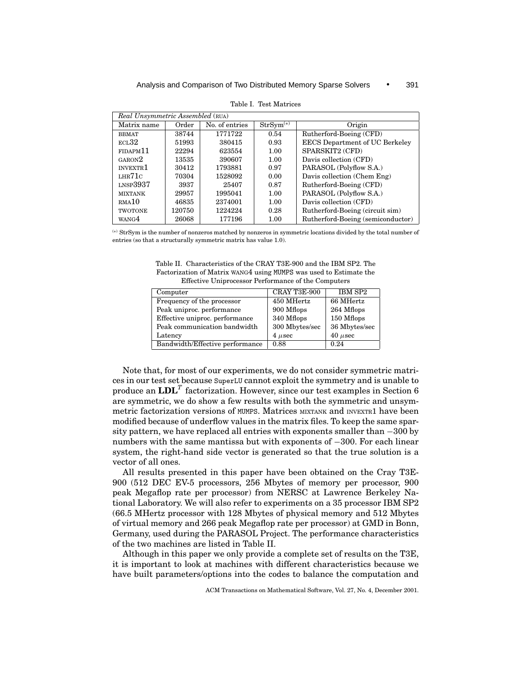| Real Unsymmetric Assembled (RUA) |        |                |                |                                       |
|----------------------------------|--------|----------------|----------------|---------------------------------------|
| Matrix name                      | Order  | No. of entries | $StrSym^{(*)}$ | Origin                                |
| <b>BBMAT</b>                     | 38744  | 1771722        | 0.54           | Rutherford-Boeing (CFD)               |
| ECL32                            | 51993  | 380415         | 0.93           | <b>EECS</b> Department of UC Berkeley |
| FIDAPM <sub>11</sub>             | 22294  | 623554         | 1.00           | SPARSKIT2 (CFD)                       |
| GARON <sup>2</sup>               | 13535  | 390607         | 1.00           | Davis collection (CFD)                |
| INVEXTR <sub>1</sub>             | 30412  | 1793881        | 0.97           | PARASOL (Polyflow S.A.)               |
| lhr71c                           | 70304  | 1528092        | 0.00           | Davis collection (Chem Eng)           |
| LNSP3937                         | 3937   | 25407          | 0.87           | Rutherford-Boeing (CFD)               |
| <b>MIXTANK</b>                   | 29957  | 1995041        | 1.00           | PARASOL (Polyflow S.A.)               |
| RMA <sub>10</sub>                | 46835  | 2374001        | 1.00           | Davis collection (CFD)                |
| <b>TWOTONE</b>                   | 120750 | 1224224        | 0.28           | Rutherford-Boeing (circuit sim)       |
| WANG4                            | 26068  | 177196         | 1.00           | Rutherford-Boeing (semiconductor)     |

Table I. Test Matrices

(∗) StrSym is the number of nonzeros matched by nonzeros in symmetric locations divided by the total number of entries (so that a structurally symmetric matrix has value 1.0).

Table II. Characteristics of the CRAY T3E-900 and the IBM SP2. The Factorization of Matrix WANG4 using MUMPS was used to Estimate the Effective Uniprocessor Performance of the Computers

| Computer                        | CRAY T3E-900   | IBM SP <sub>2</sub> |
|---------------------------------|----------------|---------------------|
| Frequency of the processor      | 450 MHertz     | 66 MHertz           |
| Peak uniproc. performance       | 900 Mflops     | 264 Mflops          |
| Effective uniproc. performance  | 340 Mflops     | 150 Mflops          |
| Peak communication bandwidth    | 300 Mbytes/sec | 36 Mbytes/sec       |
| Latency                         | $4 \mu$ sec    | $40 \mu$ sec        |
| Bandwidth/Effective performance | 0.88           | 0.24                |

Note that, for most of our experiments, we do not consider symmetric matrices in our test set because SuperLU cannot exploit the symmetry and is unable to produce an **LDL***<sup>T</sup>* factorization. However, since our test examples in Section 6 are symmetric, we do show a few results with both the symmetric and unsymmetric factorization versions of MUMPS. Matrices MIXTANK and INVEXTR1 have been modified because of underflow values in the matrix files. To keep the same sparsity pattern, we have replaced all entries with exponents smaller than −300 by numbers with the same mantissa but with exponents of −300. For each linear system, the right-hand side vector is generated so that the true solution is a vector of all ones.

All results presented in this paper have been obtained on the Cray T3E-900 (512 DEC EV-5 processors, 256 Mbytes of memory per processor, 900 peak Megaflop rate per processor) from NERSC at Lawrence Berkeley National Laboratory. We will also refer to experiments on a 35 processor IBM SP2 (66.5 MHertz processor with 128 Mbytes of physical memory and 512 Mbytes of virtual memory and 266 peak Megaflop rate per processor) at GMD in Bonn, Germany, used during the PARASOL Project. The performance characteristics of the two machines are listed in Table II.

Although in this paper we only provide a complete set of results on the T3E, it is important to look at machines with different characteristics because we have built parameters/options into the codes to balance the computation and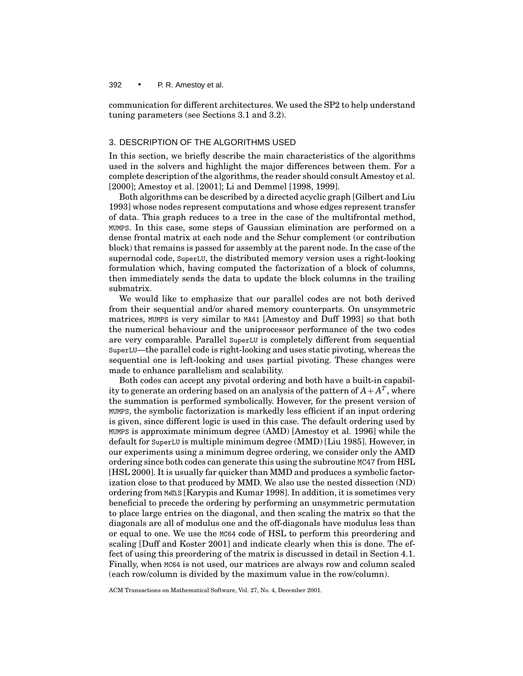communication for different architectures. We used the SP2 to help understand tuning parameters (see Sections 3.1 and 3.2).

## 3. DESCRIPTION OF THE ALGORITHMS USED

In this section, we briefly describe the main characteristics of the algorithms used in the solvers and highlight the major differences between them. For a complete description of the algorithms, the reader should consult Amestoy et al. [2000]; Amestoy et al. [2001]; Li and Demmel [1998, 1999].

Both algorithms can be described by a directed acyclic graph [Gilbert and Liu 1993] whose nodes represent computations and whose edges represent transfer of data. This graph reduces to a tree in the case of the multifrontal method, MUMPS. In this case, some steps of Gaussian elimination are performed on a dense frontal matrix at each node and the Schur complement (or contribution block) that remains is passed for assembly at the parent node. In the case of the supernodal code, SuperLU, the distributed memory version uses a right-looking formulation which, having computed the factorization of a block of columns, then immediately sends the data to update the block columns in the trailing submatrix.

We would like to emphasize that our parallel codes are not both derived from their sequential and/or shared memory counterparts. On unsymmetric matrices, MUMPS is very similar to MA41 [Amestoy and Duff 1993] so that both the numerical behaviour and the uniprocessor performance of the two codes are very comparable. Parallel SuperLU is completely different from sequential SuperLU—the parallel code is right-looking and uses static pivoting, whereas the sequential one is left-looking and uses partial pivoting. These changes were made to enhance parallelism and scalability.

Both codes can accept any pivotal ordering and both have a built-in capability to generate an ordering based on an analysis of the pattern of  $A + A<sup>T</sup>$ , where the summation is performed symbolically. However, for the present version of MUMPS, the symbolic factorization is markedly less efficient if an input ordering is given, since different logic is used in this case. The default ordering used by MUMPS is approximate minimum degree (AMD) [Amestoy et al. 1996] while the default for SuperLU is multiple minimum degree (MMD) [Liu 1985]. However, in our experiments using a minimum degree ordering, we consider only the AMD ordering since both codes can generate this using the subroutine MC47 from HSL [HSL 2000]. It is usually far quicker than MMD and produces a symbolic factorization close to that produced by MMD. We also use the nested dissection (ND) ordering from MeTiS [Karypis and Kumar 1998]. In addition, it is sometimes very beneficial to precede the ordering by performing an unsymmetric permutation to place large entries on the diagonal, and then scaling the matrix so that the diagonals are all of modulus one and the off-diagonals have modulus less than or equal to one. We use the MC64 code of HSL to perform this preordering and scaling [Duff and Koster 2001] and indicate clearly when this is done. The effect of using this preordering of the matrix is discussed in detail in Section 4.1. Finally, when MC64 is not used, our matrices are always row and column scaled (each row/column is divided by the maximum value in the row/column).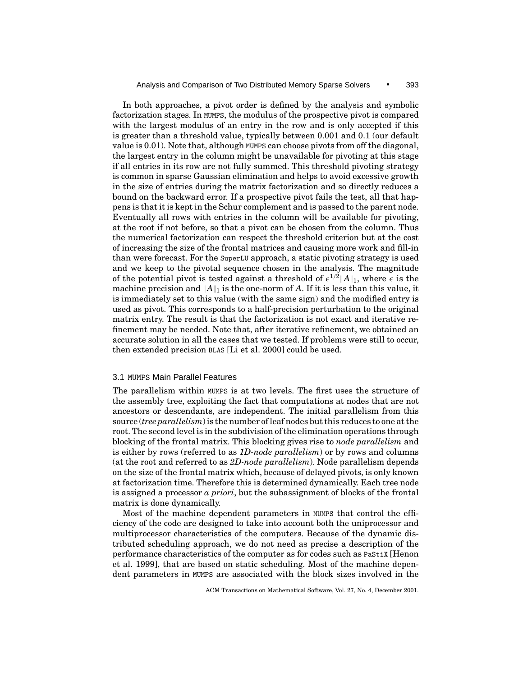In both approaches, a pivot order is defined by the analysis and symbolic factorization stages. In MUMPS, the modulus of the prospective pivot is compared with the largest modulus of an entry in the row and is only accepted if this is greater than a threshold value, typically between 0.001 and 0.1 (our default value is 0.01). Note that, although MUMPS can choose pivots from off the diagonal, the largest entry in the column might be unavailable for pivoting at this stage if all entries in its row are not fully summed. This threshold pivoting strategy is common in sparse Gaussian elimination and helps to avoid excessive growth in the size of entries during the matrix factorization and so directly reduces a bound on the backward error. If a prospective pivot fails the test, all that happens is that it is kept in the Schur complement and is passed to the parent node. Eventually all rows with entries in the column will be available for pivoting, at the root if not before, so that a pivot can be chosen from the column. Thus the numerical factorization can respect the threshold criterion but at the cost of increasing the size of the frontal matrices and causing more work and fill-in than were forecast. For the SuperLU approach, a static pivoting strategy is used and we keep to the pivotal sequence chosen in the analysis. The magnitude of the potential pivot is tested against a threshold of  $\epsilon^{1/2}||A||_1$ , where  $\epsilon$  is the machine precision and  $||A||_1$  is the one-norm of A. If it is less than this value, it is immediately set to this value (with the same sign) and the modified entry is used as pivot. This corresponds to a half-precision perturbation to the original matrix entry. The result is that the factorization is not exact and iterative refinement may be needed. Note that, after iterative refinement, we obtained an accurate solution in all the cases that we tested. If problems were still to occur, then extended precision BLAS [Li et al. 2000] could be used.

#### 3.1 MUMPS Main Parallel Features

The parallelism within MUMPS is at two levels. The first uses the structure of the assembly tree, exploiting the fact that computations at nodes that are not ancestors or descendants, are independent. The initial parallelism from this source (*tree parallelism*) is the number of leaf nodes but this reduces to one at the root. The second level is in the subdivision of the elimination operations through blocking of the frontal matrix. This blocking gives rise to *node parallelism* and is either by rows (referred to as *1D-node parallelism*) or by rows and columns (at the root and referred to as *2D-node parallelism*). Node parallelism depends on the size of the frontal matrix which, because of delayed pivots, is only known at factorization time. Therefore this is determined dynamically. Each tree node is assigned a processor *a priori*, but the subassignment of blocks of the frontal matrix is done dynamically.

Most of the machine dependent parameters in MUMPS that control the efficiency of the code are designed to take into account both the uniprocessor and multiprocessor characteristics of the computers. Because of the dynamic distributed scheduling approach, we do not need as precise a description of the performance characteristics of the computer as for codes such as PaStiX [Henon et al. 1999], that are based on static scheduling. Most of the machine dependent parameters in MUMPS are associated with the block sizes involved in the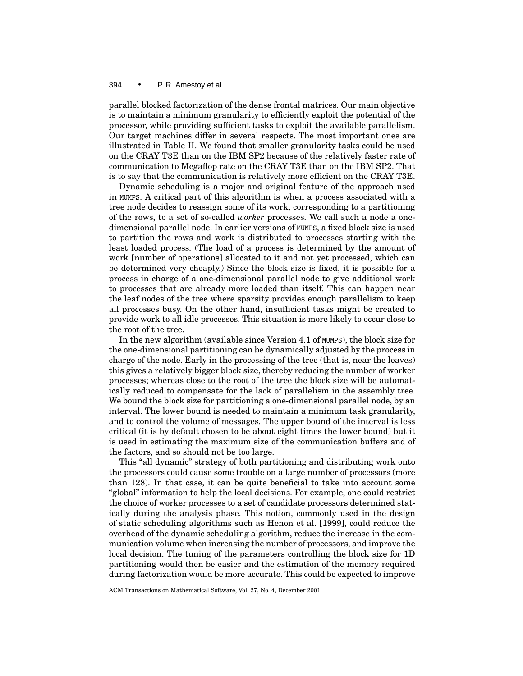parallel blocked factorization of the dense frontal matrices. Our main objective is to maintain a minimum granularity to efficiently exploit the potential of the processor, while providing sufficient tasks to exploit the available parallelism. Our target machines differ in several respects. The most important ones are illustrated in Table II. We found that smaller granularity tasks could be used on the CRAY T3E than on the IBM SP2 because of the relatively faster rate of communication to Megaflop rate on the CRAY T3E than on the IBM SP2. That is to say that the communication is relatively more efficient on the CRAY T3E.

Dynamic scheduling is a major and original feature of the approach used in MUMPS. A critical part of this algorithm is when a process associated with a tree node decides to reassign some of its work, corresponding to a partitioning of the rows, to a set of so-called *worker* processes. We call such a node a onedimensional parallel node. In earlier versions of MUMPS, a fixed block size is used to partition the rows and work is distributed to processes starting with the least loaded process. (The load of a process is determined by the amount of work [number of operations] allocated to it and not yet processed, which can be determined very cheaply.) Since the block size is fixed, it is possible for a process in charge of a one-dimensional parallel node to give additional work to processes that are already more loaded than itself. This can happen near the leaf nodes of the tree where sparsity provides enough parallelism to keep all processes busy. On the other hand, insufficient tasks might be created to provide work to all idle processes. This situation is more likely to occur close to the root of the tree.

In the new algorithm (available since Version 4.1 of MUMPS), the block size for the one-dimensional partitioning can be dynamically adjusted by the process in charge of the node. Early in the processing of the tree (that is, near the leaves) this gives a relatively bigger block size, thereby reducing the number of worker processes; whereas close to the root of the tree the block size will be automatically reduced to compensate for the lack of parallelism in the assembly tree. We bound the block size for partitioning a one-dimensional parallel node, by an interval. The lower bound is needed to maintain a minimum task granularity, and to control the volume of messages. The upper bound of the interval is less critical (it is by default chosen to be about eight times the lower bound) but it is used in estimating the maximum size of the communication buffers and of the factors, and so should not be too large.

This "all dynamic" strategy of both partitioning and distributing work onto the processors could cause some trouble on a large number of processors (more than 128). In that case, it can be quite beneficial to take into account some "global" information to help the local decisions. For example, one could restrict the choice of worker processes to a set of candidate processors determined statically during the analysis phase. This notion, commonly used in the design of static scheduling algorithms such as Henon et al. [1999], could reduce the overhead of the dynamic scheduling algorithm, reduce the increase in the communication volume when increasing the number of processors, and improve the local decision. The tuning of the parameters controlling the block size for 1D partitioning would then be easier and the estimation of the memory required during factorization would be more accurate. This could be expected to improve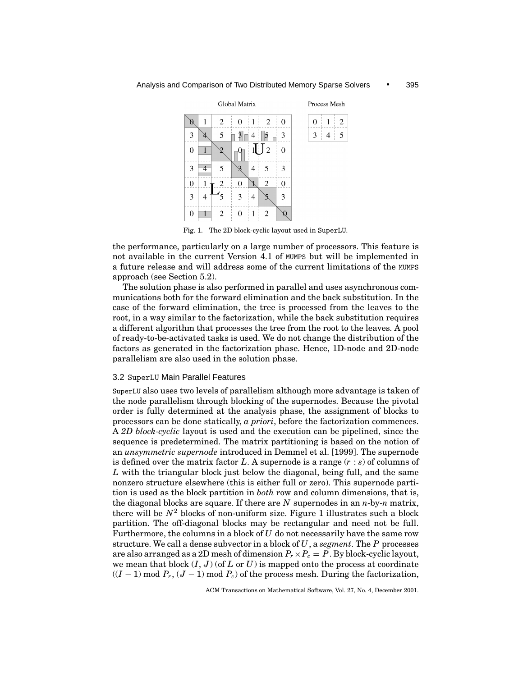

Fig. 1. The 2D block-cyclic layout used in SuperLU.

the performance, particularly on a large number of processors. This feature is not available in the current Version 4.1 of MUMPS but will be implemented in a future release and will address some of the current limitations of the MUMPS approach (see Section 5.2).

The solution phase is also performed in parallel and uses asynchronous communications both for the forward elimination and the back substitution. In the case of the forward elimination, the tree is processed from the leaves to the root, in a way similar to the factorization, while the back substitution requires a different algorithm that processes the tree from the root to the leaves. A pool of ready-to-be-activated tasks is used. We do not change the distribution of the factors as generated in the factorization phase. Hence, 1D-node and 2D-node parallelism are also used in the solution phase.

#### 3.2 SuperLU Main Parallel Features

SuperLU also uses two levels of parallelism although more advantage is taken of the node parallelism through blocking of the supernodes. Because the pivotal order is fully determined at the analysis phase, the assignment of blocks to processors can be done statically, *a priori*, before the factorization commences. A *2D block-cyclic* layout is used and the execution can be pipelined, since the sequence is predetermined. The matrix partitioning is based on the notion of an *unsymmetric supernode* introduced in Demmel et al. [1999]. The supernode is defined over the matrix factor *L*. A supernode is a range (*r* : *s*) of columns of *L* with the triangular block just below the diagonal, being full, and the same nonzero structure elsewhere (this is either full or zero). This supernode partition is used as the block partition in *both* row and column dimensions, that is, the diagonal blocks are square. If there are *N* supernodes in an *n*-by-*n* matrix, there will be  $N^2$  blocks of non-uniform size. Figure 1 illustrates such a block partition. The off-diagonal blocks may be rectangular and need not be full. Furthermore, the columns in a block of *U* do not necessarily have the same row structure. We call a dense subvector in a block of *U*, a *segment*. The *P* processes are also arranged as a 2D mesh of dimension  $P_r \times P_c = P$ . By block-cyclic layout, we mean that block  $(I, J)$  (of  $L$  or  $U$ ) is mapped onto the process at coordinate  $((I - 1) \mod P_r, (J - 1) \mod P_c)$  of the process mesh. During the factorization,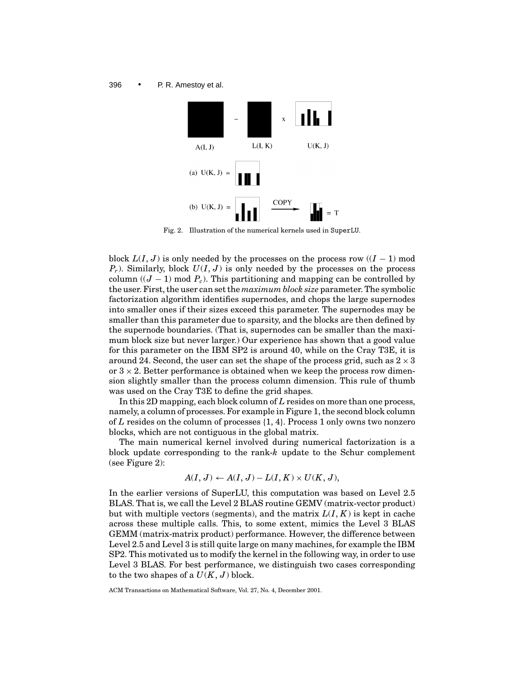

Fig. 2. Illustration of the numerical kernels used in SuperLU.

block  $L(I, J)$  is only needed by the processes on the process row  $((I – 1)$  mod  $P_r$ ). Similarly, block  $U(I, J)$  is only needed by the processes on the process column  $((J - 1)$  mod  $P_c$ ). This partitioning and mapping can be controlled by the user. First, the user can set the *maximum block size* parameter. The symbolic factorization algorithm identifies supernodes, and chops the large supernodes into smaller ones if their sizes exceed this parameter. The supernodes may be smaller than this parameter due to sparsity, and the blocks are then defined by the supernode boundaries. (That is, supernodes can be smaller than the maximum block size but never larger.) Our experience has shown that a good value for this parameter on the IBM SP2 is around 40, while on the Cray T3E, it is around 24. Second, the user can set the shape of the process grid, such as  $2 \times 3$ or  $3 \times 2$ . Better performance is obtained when we keep the process row dimension slightly smaller than the process column dimension. This rule of thumb was used on the Cray T3E to define the grid shapes.

In this 2D mapping, each block column of *L* resides on more than one process, namely, a column of processes. For example in Figure 1, the second block column of *L* resides on the column of processes {1, 4}. Process 1 only owns two nonzero blocks, which are not contiguous in the global matrix.

The main numerical kernel involved during numerical factorization is a block update corresponding to the rank-*k* update to the Schur complement (see Figure 2):

$$
A(I, J) \leftarrow A(I, J) - L(I, K) \times U(K, J),
$$

In the earlier versions of SuperLU, this computation was based on Level 2.5 BLAS. That is, we call the Level 2 BLAS routine GEMV (matrix-vector product) but with multiple vectors (segments), and the matrix  $L(I, K)$  is kept in cache across these multiple calls. This, to some extent, mimics the Level 3 BLAS GEMM (matrix-matrix product) performance. However, the difference between Level 2.5 and Level 3 is still quite large on many machines, for example the IBM SP2. This motivated us to modify the kernel in the following way, in order to use Level 3 BLAS. For best performance, we distinguish two cases corresponding to the two shapes of a  $U(K, J)$  block.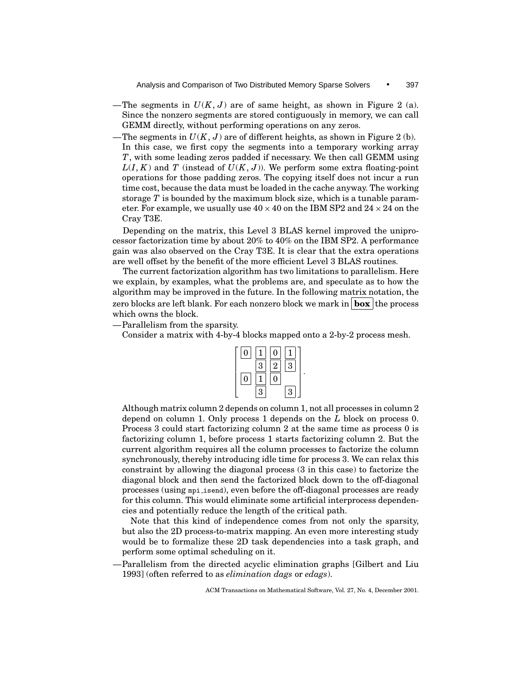- —The segments in  $U(K, J)$  are of same height, as shown in Figure 2 (a). Since the nonzero segments are stored contiguously in memory, we can call GEMM directly, without performing operations on any zeros.
- —The segments in  $U(K, J)$  are of different heights, as shown in Figure 2 (b). In this case, we first copy the segments into a temporary working array *T*, with some leading zeros padded if necessary. We then call GEMM using  $L(I, K)$  and *T* (instead of  $U(K, J)$ ). We perform some extra floating-point operations for those padding zeros. The copying itself does not incur a run time cost, because the data must be loaded in the cache anyway. The working storage *T* is bounded by the maximum block size, which is a tunable parameter. For example, we usually use  $40 \times 40$  on the IBM SP2 and  $24 \times 24$  on the Cray T3E.

Depending on the matrix, this Level 3 BLAS kernel improved the uniprocessor factorization time by about 20% to 40% on the IBM SP2. A performance gain was also observed on the Cray T3E. It is clear that the extra operations are well offset by the benefit of the more efficient Level 3 BLAS routines.

The current factorization algorithm has two limitations to parallelism. Here we explain, by examples, what the problems are, and speculate as to how the algorithm may be improved in the future. In the following matrix notation, the zero blocks are left blank. For each nonzero block we mark in  $\mathbf{box}$  the process which owns the block.

—Parallelism from the sparsity.

Consider a matrix with 4-by-4 blocks mapped onto a 2-by-2 process mesh.



Although matrix column 2 depends on column 1, not all processes in column 2 depend on column 1. Only process 1 depends on the *L* block on process 0. Process 3 could start factorizing column 2 at the same time as process 0 is factorizing column 1, before process 1 starts factorizing column 2. But the current algorithm requires all the column processes to factorize the column synchronously, thereby introducing idle time for process 3. We can relax this constraint by allowing the diagonal process (3 in this case) to factorize the diagonal block and then send the factorized block down to the off-diagonal processes (using mpi isend), even before the off-diagonal processes are ready for this column. This would eliminate some artificial interprocess dependencies and potentially reduce the length of the critical path.

Note that this kind of independence comes from not only the sparsity, but also the 2D process-to-matrix mapping. An even more interesting study would be to formalize these 2D task dependencies into a task graph, and perform some optimal scheduling on it.

—Parallelism from the directed acyclic elimination graphs [Gilbert and Liu 1993] (often referred to as *elimination dags* or *edags*).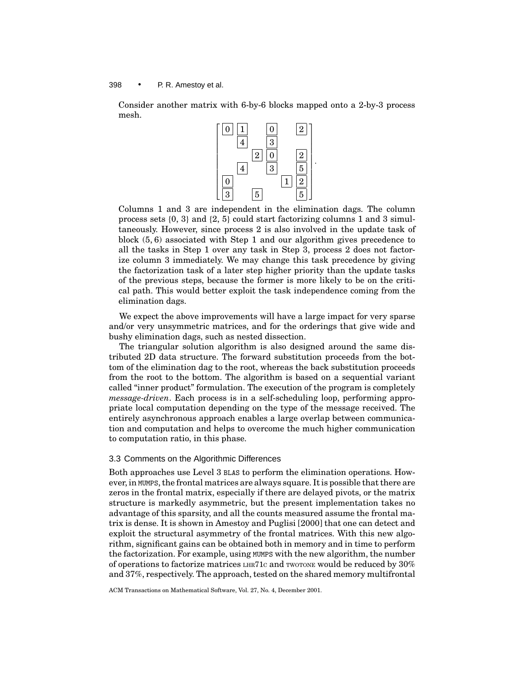Consider another matrix with 6-by-6 blocks mapped onto a 2-by-3 process mesh.



Columns 1 and 3 are independent in the elimination dags. The column process sets {0, 3} and {2, 5} could start factorizing columns 1 and 3 simultaneously. However, since process 2 is also involved in the update task of block (5, 6) associated with Step 1 and our algorithm gives precedence to all the tasks in Step 1 over any task in Step 3, process 2 does not factorize column 3 immediately. We may change this task precedence by giving the factorization task of a later step higher priority than the update tasks of the previous steps, because the former is more likely to be on the critical path. This would better exploit the task independence coming from the elimination dags.

We expect the above improvements will have a large impact for very sparse and/or very unsymmetric matrices, and for the orderings that give wide and bushy elimination dags, such as nested dissection.

The triangular solution algorithm is also designed around the same distributed 2D data structure. The forward substitution proceeds from the bottom of the elimination dag to the root, whereas the back substitution proceeds from the root to the bottom. The algorithm is based on a sequential variant called "inner product" formulation. The execution of the program is completely *message-driven*. Each process is in a self-scheduling loop, performing appropriate local computation depending on the type of the message received. The entirely asynchronous approach enables a large overlap between communication and computation and helps to overcome the much higher communication to computation ratio, in this phase.

#### 3.3 Comments on the Algorithmic Differences

Both approaches use Level 3 BLAS to perform the elimination operations. However, in MUMPS, the frontal matrices are always square. It is possible that there are zeros in the frontal matrix, especially if there are delayed pivots, or the matrix structure is markedly asymmetric, but the present implementation takes no advantage of this sparsity, and all the counts measured assume the frontal matrix is dense. It is shown in Amestoy and Puglisi [2000] that one can detect and exploit the structural asymmetry of the frontal matrices. With this new algorithm, significant gains can be obtained both in memory and in time to perform the factorization. For example, using MUMPS with the new algorithm, the number of operations to factorize matrices LHR71C and TWOTONE would be reduced by 30% and 37%, respectively. The approach, tested on the shared memory multifrontal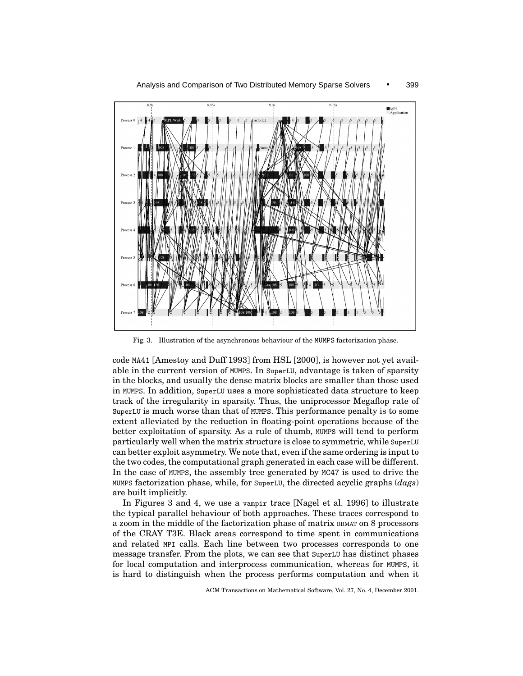

Fig. 3. Illustration of the asynchronous behaviour of the MUMPS factorization phase.

code MA41 [Amestoy and Duff 1993] from HSL [2000], is however not yet available in the current version of MUMPS. In SuperLU, advantage is taken of sparsity in the blocks, and usually the dense matrix blocks are smaller than those used in MUMPS. In addition, SuperLU uses a more sophisticated data structure to keep track of the irregularity in sparsity. Thus, the uniprocessor Megaflop rate of SuperLU is much worse than that of MUMPS. This performance penalty is to some extent alleviated by the reduction in floating-point operations because of the better exploitation of sparsity. As a rule of thumb, MUMPS will tend to perform particularly well when the matrix structure is close to symmetric, while SuperLU can better exploit asymmetry. We note that, even if the same ordering is input to the two codes, the computational graph generated in each case will be different. In the case of MUMPS, the assembly tree generated by MC47 is used to drive the MUMPS factorization phase, while, for SuperLU, the directed acyclic graphs (*dags*) are built implicitly.

In Figures 3 and 4, we use a vampir trace [Nagel et al. 1996] to illustrate the typical parallel behaviour of both approaches. These traces correspond to a zoom in the middle of the factorization phase of matrix BBMAT on 8 processors of the CRAY T3E. Black areas correspond to time spent in communications and related MPI calls. Each line between two processes corresponds to one message transfer. From the plots, we can see that SuperLU has distinct phases for local computation and interprocess communication, whereas for MUMPS, it is hard to distinguish when the process performs computation and when it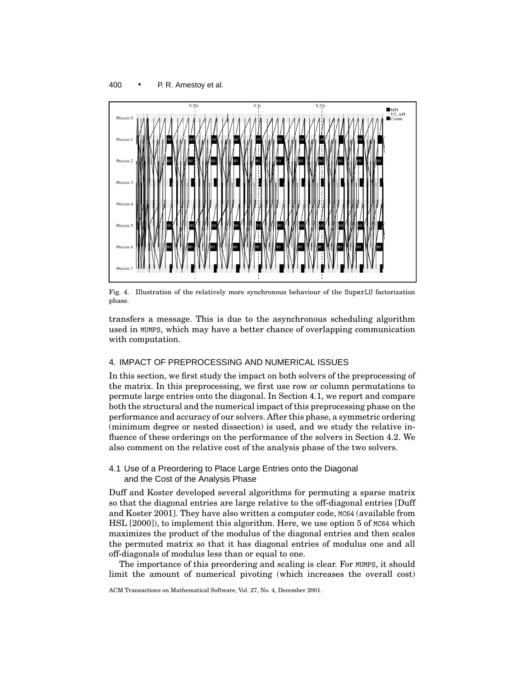

Fig. 4. Illustration of the relatively more synchronous behaviour of the SuperLU factorization phase.

transfers a message. This is due to the asynchronous scheduling algorithm used in MUMPS, which may have a better chance of overlapping communication with computation.

## 4. IMPACT OF PREPROCESSING AND NUMERICAL ISSUES

In this section, we first study the impact on both solvers of the preprocessing of the matrix. In this preprocessing, we first use row or column permutations to permute large entries onto the diagonal. In Section 4.1, we report and compare both the structural and the numerical impact of this preprocessing phase on the performance and accuracy of our solvers. After this phase, a symmetric ordering (minimum degree or nested dissection) is used, and we study the relative influence of these orderings on the performance of the solvers in Section 4.2. We also comment on the relative cost of the analysis phase of the two solvers.

## 4.1 Use of a Preordering to Place Large Entries onto the Diagonal and the Cost of the Analysis Phase

Duff and Koster developed several algorithms for permuting a sparse matrix so that the diagonal entries are large relative to the off-diagonal entries [Duff and Koster 2001]. They have also written a computer code, MC64 (available from HSL [2000]), to implement this algorithm. Here, we use option 5 of MC64 which maximizes the product of the modulus of the diagonal entries and then scales the permuted matrix so that it has diagonal entries of modulus one and all off-diagonals of modulus less than or equal to one.

The importance of this preordering and scaling is clear. For MUMPS, it should limit the amount of numerical pivoting (which increases the overall cost)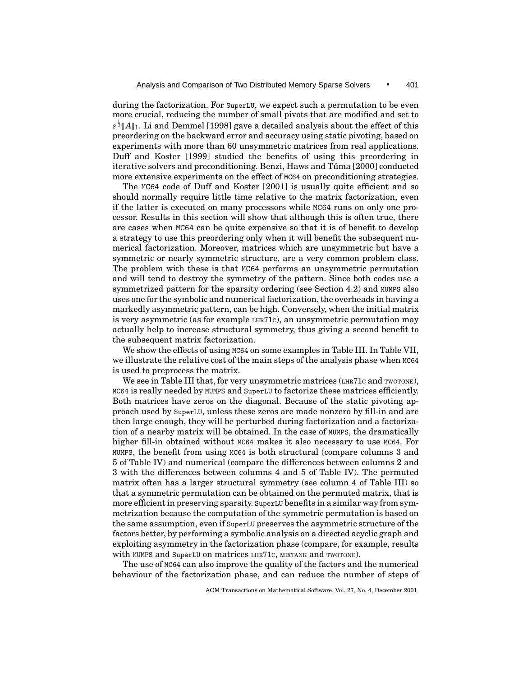during the factorization. For SuperLU, we expect such a permutation to be even more crucial, reducing the number of small pivots that are modified and set to  $\epsilon^{\frac{1}{2}}\|A\|_1.$  Li and Demmel [1998] gave a detailed analysis about the effect of this preordering on the backward error and accuracy using static pivoting, based on experiments with more than 60 unsymmetric matrices from real applications. Duff and Koster [1999] studied the benefits of using this preordering in iterative solvers and preconditioning. Benzi, Haws and Tuma [2000] conducted more extensive experiments on the effect of MC64 on preconditioning strategies.

The MC64 code of Duff and Koster [2001] is usually quite efficient and so should normally require little time relative to the matrix factorization, even if the latter is executed on many processors while MC64 runs on only one processor. Results in this section will show that although this is often true, there are cases when MC64 can be quite expensive so that it is of benefit to develop a strategy to use this preordering only when it will benefit the subsequent numerical factorization. Moreover, matrices which are unsymmetric but have a symmetric or nearly symmetric structure, are a very common problem class. The problem with these is that MC64 performs an unsymmetric permutation and will tend to destroy the symmetry of the pattern. Since both codes use a symmetrized pattern for the sparsity ordering (see Section 4.2) and MUMPS also uses one for the symbolic and numerical factorization, the overheads in having a markedly asymmetric pattern, can be high. Conversely, when the initial matrix is very asymmetric (as for example LHR71C), an unsymmetric permutation may actually help to increase structural symmetry, thus giving a second benefit to the subsequent matrix factorization.

We show the effects of using MC64 on some examples in Table III. In Table VII, we illustrate the relative cost of the main steps of the analysis phase when MC64 is used to preprocess the matrix.

We see in Table III that, for very unsymmetric matrices (LHR71c and TWOTONE), MC64 is really needed by MUMPS and SuperLU to factorize these matrices efficiently. Both matrices have zeros on the diagonal. Because of the static pivoting approach used by SuperLU, unless these zeros are made nonzero by fill-in and are then large enough, they will be perturbed during factorization and a factorization of a nearby matrix will be obtained. In the case of MUMPS, the dramatically higher fill-in obtained without MC64 makes it also necessary to use MC64. For MUMPS, the benefit from using MC64 is both structural (compare columns 3 and 5 of Table IV) and numerical (compare the differences between columns 2 and 3 with the differences between columns 4 and 5 of Table IV). The permuted matrix often has a larger structural symmetry (see column 4 of Table III) so that a symmetric permutation can be obtained on the permuted matrix, that is more efficient in preserving sparsity. SuperLU benefits in a similar way from symmetrization because the computation of the symmetric permutation is based on the same assumption, even if SuperLU preserves the asymmetric structure of the factors better, by performing a symbolic analysis on a directed acyclic graph and exploiting asymmetry in the factorization phase (compare, for example, results with MUMPS and SuperLU on matrices LHR71C, MIXTANK and TWOTONE).

The use of MC64 can also improve the quality of the factors and the numerical behaviour of the factorization phase, and can reduce the number of steps of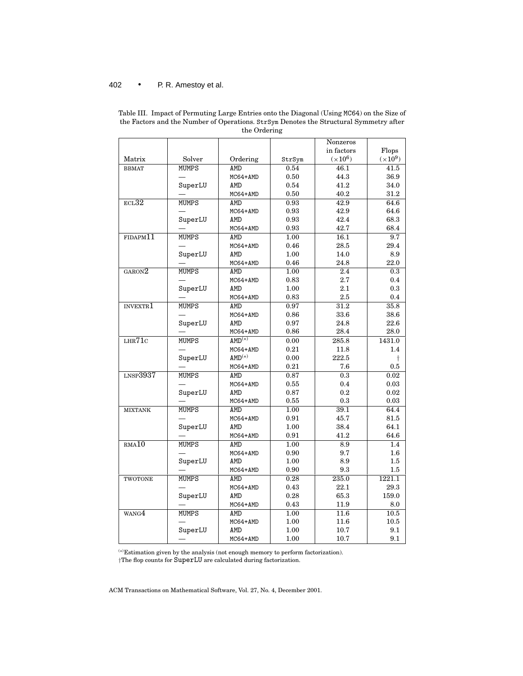|                      |              |                    |        | Nonzeros   |           |
|----------------------|--------------|--------------------|--------|------------|-----------|
|                      |              |                    |        | in factors | Flops     |
| Matrix               | Solver       | Ordering           | StrSym | $(x10^6)$  | $(x10^9)$ |
| <b>BBMAT</b>         | <b>MUMPS</b> | AMD                | 0.54   | 46.1       | 41.5      |
|                      |              | MC64+AMD           | 0.50   | 44.3       | 36.9      |
|                      | SuperLU      | AMD                | 0.54   | 41.2       | 34.0      |
|                      |              | MC64+AMD           | 0.50   | 40.2       | 31.2      |
| ECL32                | <b>MUMPS</b> | AMD                | 0.93   | 42.9       | 64.6      |
|                      |              | MC64+AMD           | 0.93   | 42.9       | 64.6      |
|                      | SuperLU      | <b>AMD</b>         | 0.93   | 42.4       | 68.3      |
|                      |              | MC64+AMD           | 0.93   | 42.7       | 68.4      |
| FIDAPM <sub>11</sub> | <b>MUMPS</b> | AMD                | 1.00   | 16.1       | 9.7       |
|                      |              | MC64+AMD           | 0.46   | 28.5       | 29.4      |
|                      | SuperLU      | AMD                | 1.00   | 14.0       | 8.9       |
|                      |              | MC64+AMD           | 0.46   | 24.8       | 22.0      |
| GARON2               | <b>MUMPS</b> | AMD                | 1.00   | 2.4        | 0.3       |
|                      |              | MC64+AMD           | 0.83   | 2.7        | 0.4       |
|                      | SuperLU      | AMD                | 1.00   | 2.1        | 0.3       |
|                      |              | MC64+AMD           | 0.83   | 2.5        | 0.4       |
| INVEXTR1             | <b>MUMPS</b> | AMD                | 0.97   | 31.2       | 35.8      |
|                      |              | MC64+AMD           | 0.86   | 33.6       | 38.6      |
|                      | SuperLU      | AMD                | 0.97   | 24.8       | 22.6      |
|                      |              | MC64+AMD           | 0.86   | 28.4       | 28.0      |
| LHR71c               | <b>MUMPS</b> | $\text{AMD}^{(*)}$ | 0.00   | 285.8      | 1431.0    |
|                      |              | MC64+AMD           | 0.21   | 11.8       | 1.4       |
|                      | SuperLU      | $AMD^{(*)}$        | 0.00   | 222.5      | t         |
|                      |              | MC64+AMD           | 0.21   | 7.6        | 0.5       |
| LNSP3937             | <b>MUMPS</b> | AMD                | 0.87   | 0.3        | 0.02      |
|                      |              | MC64+AMD           | 0.55   | 0.4        | 0.03      |
|                      | SuperLU      | AMD                | 0.87   | 0.2        | 0.02      |
|                      |              | MC64+AMD           | 0.55   | 0.3        | 0.03      |
| <b>MIXTANK</b>       | <b>MUMPS</b> | AMD                | 1.00   | 39.1       | 64.4      |
|                      |              | MC64+AMD           | 0.91   | 45.7       | 81.5      |
|                      | SuperLU      | AMD                | 1.00   | 38.4       | 64.1      |
|                      |              | MC64+AMD           | 0.91   | 41.2       | 64.6      |
| RMA10                | <b>MUMPS</b> | AMD                | 1.00   | 8.9        | 1.4       |
|                      |              | MC64+AMD           | 0.90   | 9.7        | 1.6       |
|                      | SuperLU      | AMD                | 1.00   | 8.9        | 1.5       |
|                      | <b>MUMPS</b> | MC64+AMD           | 0.90   | 9.3        | 1.5       |
| <b>TWOTONE</b>       |              | AMD                | 0.28   | 235.0      | 1221.1    |
|                      |              | MC64+AMD           | 0.43   | 22.1       | 29.3      |
|                      | SuperLU      | AMD                | 0.28   | 65.3       | 159.0     |
|                      |              | MC64+AMD           | 0.43   | 11.9       | 8.0       |
| WANG4                | <b>MUMPS</b> | AMD                | 1.00   | 11.6       | 10.5      |
|                      |              | MC64+AMD<br>AMD    | 1.00   | 11.6       | 10.5      |
|                      | SuperLU      |                    | 1.00   | 10.7       | 9.1       |
|                      |              | MC64+AMD           | 1.00   | 10.7       | 9.1       |

Table III. Impact of Permuting Large Entries onto the Diagonal (Using MC64) on the Size of the Factors and the Number of Operations. StrSym Denotes the Structural Symmetry after the Ordering

(∗) Estimation given by the analysis (not enough memory to perform factorization).

†The flop counts for SuperLU are calculated during factorization.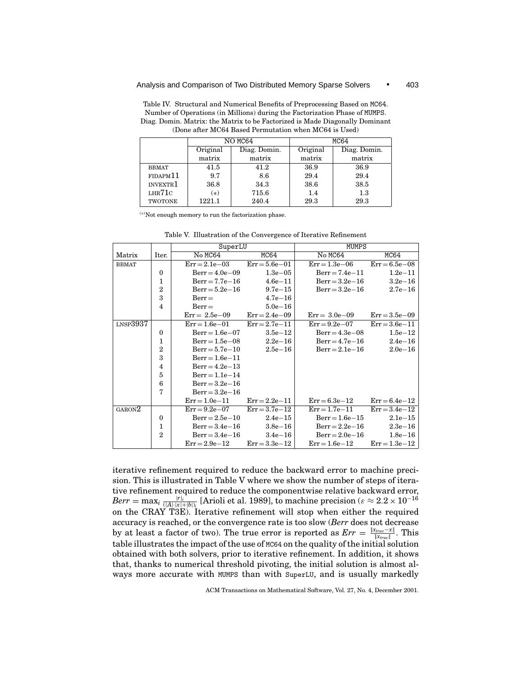|                      | (Done after MC64 Based Permutation when MC64 is Used) |                    |          |              |  |  |  |  |  |  |
|----------------------|-------------------------------------------------------|--------------------|----------|--------------|--|--|--|--|--|--|
|                      |                                                       | NO <sub>MC64</sub> | MC64     |              |  |  |  |  |  |  |
|                      | Original                                              | Diag. Domin.       | Original | Diag. Domin. |  |  |  |  |  |  |
|                      | matrix                                                | matrix             | matrix   | matrix       |  |  |  |  |  |  |
| <b>BBMAT</b>         | 41.5                                                  | 41.2               | 36.9     | 36.9         |  |  |  |  |  |  |
| FIDAPM <sub>11</sub> | 9.7                                                   | 8.6                | 29.4     | 29.4         |  |  |  |  |  |  |
| INVEXTR <sub>1</sub> | 36.8                                                  | 34.3               | 38.6     | 38.5         |  |  |  |  |  |  |
| LHR71C               | $(*)$                                                 | 715.6              | 1.4      | 1.3          |  |  |  |  |  |  |
| <b>TWOTONE</b>       | 1221.1                                                | 240.4              | 29.3     | 29.3         |  |  |  |  |  |  |

Table IV. Structural and Numerical Benefits of Preprocessing Based on MC64. Number of Operations (in Millions) during the Factorization Phase of MUMPS. Diag. Domin. Matrix: the Matrix to be Factorized is Made Diagonally Dominant

(∗) Not enough memory to run the factorization phase.

|              |                | SuperLU                   |                   | <b>MUMPS</b>                       |                   |  |  |  |
|--------------|----------------|---------------------------|-------------------|------------------------------------|-------------------|--|--|--|
| Matrix       | Iter.          | No MC64                   | MC64              | No MC64                            | MC64              |  |  |  |
| <b>BBMAT</b> |                | $Err = 2.1e-03$           | $Err = 5.6e - 01$ | $Err = 1.3e - 06$                  | $Err = 6.5e-08$   |  |  |  |
|              | $\mathbf{0}$   | $\text{Berr} = 4.0e - 09$ | $1.3e{-05}$       | $\text{Berr} = 7.4e-11$            | $1.2e - 11$       |  |  |  |
|              | $\mathbf{1}$   | $Berr = 7.7e-16$          | $4.6e - 11$       | $\mathrm{Berr}=3.2\mathrm{e}{-16}$ | $3.2e - 16$       |  |  |  |
|              | $\overline{2}$ | $\text{Berr} = 5.2e-16$   | $9.7e - 15$       | $\text{Berr} = 3.2e - 16$          | $2.7e-16$         |  |  |  |
|              | 3              | $Berr =$                  | $4.7e{-16}$       |                                    |                   |  |  |  |
|              | $\overline{4}$ | $\text{Berr} =$           | $5.0e - 16$       |                                    |                   |  |  |  |
|              |                | $Err = 2.5e-0.9$          | $Err = 2.4e - 09$ | $Err = 3.0e{-09}$                  | $Err = 3.5e-09$   |  |  |  |
| LNSP3937     |                | $Err = 1.6e-01$           | $Err = 2.7e - 11$ | $Err = 9.2e - 07$                  | $Err = 3.6e-11$   |  |  |  |
|              | $\theta$       | $\text{Berr} = 1.6e-07$   | $3.5e - 12$       | $\text{Berr} = 4.3\text{e}-08$     | $1.5e - 12$       |  |  |  |
|              | 1              | $\text{Berr} = 1.5e-08$   | $2.2e - 16$       | $\text{Berr} = 4.7e - 16$          | $2.4e - 16$       |  |  |  |
|              | $\overline{2}$ | $\text{Berr} = 5.7e-10$   | $2.5e - 16$       | $\text{Berr} = 2.1e-16$            | $2.0e{-16}$       |  |  |  |
|              | 3              | $\text{Berr} = 1.6e-11$   |                   |                                    |                   |  |  |  |
|              | $\overline{4}$ | $Berr = 4.2e-13$          |                   |                                    |                   |  |  |  |
|              | 5              | $\text{Berr} = 1.1e-14$   |                   |                                    |                   |  |  |  |
|              | 6              | $\text{Berr} = 3.2e - 16$ |                   |                                    |                   |  |  |  |
|              | 7              | $\text{Berr} = 3.2e-16$   |                   |                                    |                   |  |  |  |
|              |                | $Err = 1.0e-11$           | $Err = 2.2e - 11$ | $Err = 6.3e-12$                    | $Err = 6.4e - 12$ |  |  |  |
| GARON2       |                | $Err = 9.2e - 07$         | $Err = 3.7e-12$   | $Err = 1.7e-11$                    | $Err = 3.4e-12$   |  |  |  |
|              | $\mathbf{0}$   | $\text{Berr} = 2.5e-10$   | $2.4e - 15$       | $\text{Berr} = 1.6e-15$            | $2.1e-15$         |  |  |  |
|              | $\mathbf{1}$   | $\text{Berr} = 3.4e - 16$ | $3.8e - 16$       | $Berr = 2.2e-16$                   | $2.3e - 16$       |  |  |  |
|              | $\overline{2}$ | $\text{Berr} = 3.4e - 16$ | $3.4e - 16$       | $\text{Berr} = 2.0e-16$            | $1.8e-16$         |  |  |  |
|              |                | $Err = 2.9e - 12$         | $Err = 3.3e - 12$ | $Err = 1.6e-12$                    | $Err = 1.3e-12$   |  |  |  |

Table V. Illustration of the Convergence of Iterative Refinement

iterative refinement required to reduce the backward error to machine precision. This is illustrated in Table V where we show the number of steps of iterative refinement required to reduce the componentwise relative backward error,  $Berr = \max_i \frac{|r|_i}{(|A|\cdot|x|+|b|)_i}$  [Arioli et al. 1989], to machine precision ( $\varepsilon \approx 2.2 \times 10^{-16}$ on the CRAY T3E). Iterative refinement will stop when either the required accuracy is reached, or the convergence rate is too slow (*Berr* does not decrease by at least a factor of two). The true error is reported as  $Err = \frac{y_{true} - x}{y_{true}}$ . This table illustrates the impact of the use of MC64 on the quality of the initial solution obtained with both solvers, prior to iterative refinement. In addition, it shows that, thanks to numerical threshold pivoting, the initial solution is almost always more accurate with MUMPS than with SuperLU, and is usually markedly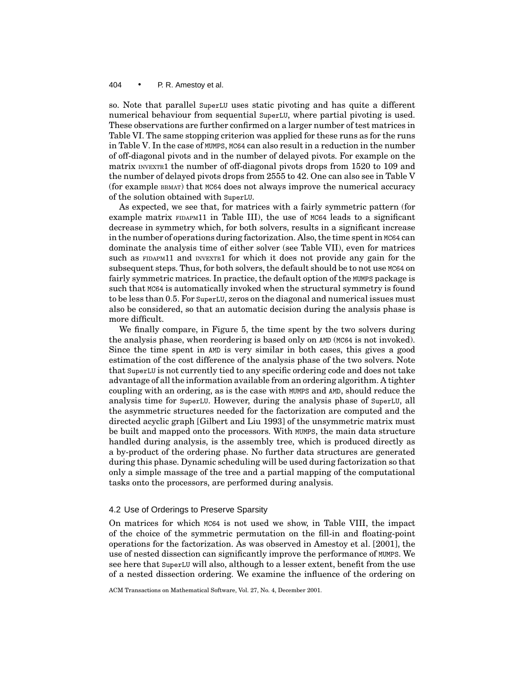so. Note that parallel SuperLU uses static pivoting and has quite a different numerical behaviour from sequential SuperLU, where partial pivoting is used. These observations are further confirmed on a larger number of test matrices in Table VI. The same stopping criterion was applied for these runs as for the runs in Table V. In the case of MUMPS, MC64 can also result in a reduction in the number of off-diagonal pivots and in the number of delayed pivots. For example on the matrix INVEXTR1 the number of off-diagonal pivots drops from 1520 to 109 and the number of delayed pivots drops from 2555 to 42. One can also see in Table V (for example BBMAT) that MC64 does not always improve the numerical accuracy of the solution obtained with SuperLU.

As expected, we see that, for matrices with a fairly symmetric pattern (for example matrix  $FIDAPM11$  in Table III), the use of  $MCG4$  leads to a significant decrease in symmetry which, for both solvers, results in a significant increase in the number of operations during factorization. Also, the time spent in MC64 can dominate the analysis time of either solver (see Table VII), even for matrices such as FIDAPM11 and INVEXTR1 for which it does not provide any gain for the subsequent steps. Thus, for both solvers, the default should be to not use MC64 on fairly symmetric matrices. In practice, the default option of the MUMPS package is such that MC64 is automatically invoked when the structural symmetry is found to be less than 0.5. For SuperLU, zeros on the diagonal and numerical issues must also be considered, so that an automatic decision during the analysis phase is more difficult.

We finally compare, in Figure 5, the time spent by the two solvers during the analysis phase, when reordering is based only on AMD (MC64 is not invoked). Since the time spent in AMD is very similar in both cases, this gives a good estimation of the cost difference of the analysis phase of the two solvers. Note that SuperLU is not currently tied to any specific ordering code and does not take advantage of all the information available from an ordering algorithm. A tighter coupling with an ordering, as is the case with MUMPS and AMD, should reduce the analysis time for SuperLU. However, during the analysis phase of SuperLU, all the asymmetric structures needed for the factorization are computed and the directed acyclic graph [Gilbert and Liu 1993] of the unsymmetric matrix must be built and mapped onto the processors. With MUMPS, the main data structure handled during analysis, is the assembly tree, which is produced directly as a by-product of the ordering phase. No further data structures are generated during this phase. Dynamic scheduling will be used during factorization so that only a simple massage of the tree and a partial mapping of the computational tasks onto the processors, are performed during analysis.

## 4.2 Use of Orderings to Preserve Sparsity

On matrices for which MC64 is not used we show, in Table VIII, the impact of the choice of the symmetric permutation on the fill-in and floating-point operations for the factorization. As was observed in Amestoy et al. [2001], the use of nested dissection can significantly improve the performance of MUMPS. We see here that SuperLU will also, although to a lesser extent, benefit from the use of a nested dissection ordering. We examine the influence of the ordering on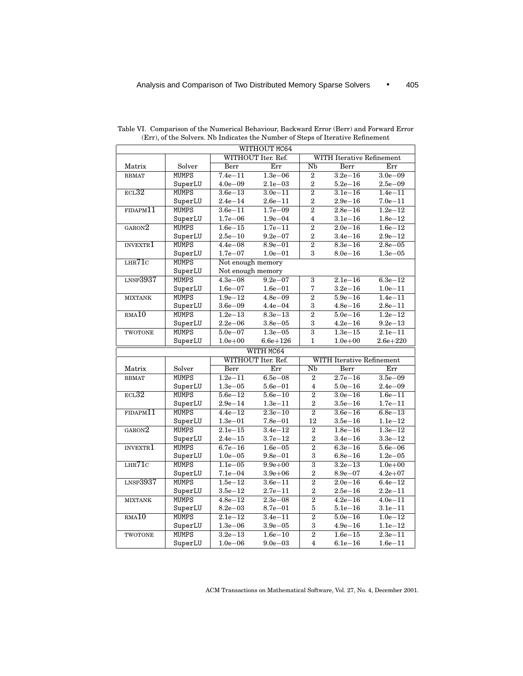| WITHOUT MC64                                           |                         |                            |                            |                                           |                                  |                            |  |  |  |  |  |
|--------------------------------------------------------|-------------------------|----------------------------|----------------------------|-------------------------------------------|----------------------------------|----------------------------|--|--|--|--|--|
|                                                        |                         |                            | WITHOUT Iter. Ref.         |                                           | <b>WITH Iterative Refinement</b> |                            |  |  |  |  |  |
| Matrix                                                 | Solver                  | Berr                       | Err                        | N <sub>b</sub>                            | Berr                             | Err                        |  |  |  |  |  |
| <b>BBMAT</b>                                           | <b>MUMPS</b>            | $7.4e - 11$                | $1.3e - 06$                | $\boldsymbol{2}$                          | $3.2e - 16$                      | $3.0e - 0.9$               |  |  |  |  |  |
|                                                        | SuperLU                 | $4.0e - 09$                | $2.1e - 03$                | $\overline{2}$                            | $5.2e - 16$                      | $2.5e - 09$                |  |  |  |  |  |
| ECL32                                                  | <b>MUMPS</b>            | $3.6e - 13$                | $3.0e - 11$                | $\overline{2}$                            | $3.1e - 16$                      | $1.4e - 11$                |  |  |  |  |  |
|                                                        | SuperLU                 | $2.4e-14$                  | $2.6e - 11$                | $\overline{2}$                            | $2.9e - 16$                      | $7.0e - 11$                |  |  |  |  |  |
| FIDAPM11                                               | <b>MUMPS</b>            | $3.6e - 11$                | $1.7e - 09$                | $\overline{2}$                            | $2.8e - 16$                      | $1.2e-12$                  |  |  |  |  |  |
|                                                        | SuperLU                 | $1.7e - 06$                | $1.9e - 04$                | $\overline{4}$                            | $3.1e - 16$                      | $1.8e-12$                  |  |  |  |  |  |
| GARON <sup>2</sup>                                     | <b>MUMPS</b>            | $1.6e-15$                  | $1.7e-11$                  | $\overline{2}$                            | $2.0e - 16$                      | $1.6e-12$                  |  |  |  |  |  |
|                                                        | SuperLU                 | $2.5e - 10$                | $9.2e - 07$                | $\overline{2}$                            | $3.4e{-16}$                      | $2.9e - 12$                |  |  |  |  |  |
| INVEXTR1                                               | <b>MUMPS</b>            | $4.4e - 08$                | $8.9e - 01$                | $\overline{2}$                            | $8.3e - 16$                      | $2.8e - 0.5$               |  |  |  |  |  |
|                                                        | SuperLU                 | $1.7e - 07$                | $1.0e - 01$                | 3                                         | $8.0e - 16$                      | $1.3e - 0.5$               |  |  |  |  |  |
| LHR71c                                                 | <b>MUMPS</b>            | Not enough memory          |                            |                                           |                                  |                            |  |  |  |  |  |
|                                                        | SuperLU                 | Not enough memory          |                            |                                           |                                  |                            |  |  |  |  |  |
| $L$ <sub>NSP</sub> $3937$                              | <b>MUMPS</b>            | $4.3e - 08$                | $9.2e - 07$                | $\overline{3}$                            | $2.1e-16$                        | $6.3e-12$                  |  |  |  |  |  |
|                                                        | SuperLU                 | $1.6e - 07$                | $1.6e - 01$                | 7                                         | $3.2e - 16$                      | $1.0e - 11$                |  |  |  |  |  |
| <b>MIXTANK</b>                                         | <b>MUMPS</b>            | $1.9e - 12$                | $4.8e - 09$                | $\overline{2}$                            | $5.9e - 16$                      | $1.4e-11$                  |  |  |  |  |  |
|                                                        | SuperLU                 | $3.6e - 09$                | $4.4e - 04$                | 3                                         | $4.8e - 16$                      | $2.8e - 11$                |  |  |  |  |  |
| RMA <sub>10</sub>                                      | <b>MUMPS</b>            | $1.2e-13$                  | $8.3e - 13$                | $\overline{2}$                            | $5.0e - 16$                      | $1.2e-12$                  |  |  |  |  |  |
|                                                        | SuperLU                 | $2.2e - 06$                | $3.8e - 0.5$               | 3                                         | $4.2e - 16$                      | $9.2e - 13$                |  |  |  |  |  |
| <b>TWOTONE</b>                                         | <b>MUMPS</b>            | $5.0e - 07$                | $1.3e - 0.5$               | 3                                         | $1.3e - 15$                      | $2.1e-11$                  |  |  |  |  |  |
|                                                        | SuperLU                 | $1.0e + 00$                | $6.6e + 126$               | 1                                         | $1.0e + 00$                      | $2.6e + 220$               |  |  |  |  |  |
| WITH MC64                                              |                         |                            |                            |                                           |                                  |                            |  |  |  |  |  |
| WITHOUT Iter. Ref.<br><b>WITH Iterative Refinement</b> |                         |                            |                            |                                           |                                  |                            |  |  |  |  |  |
|                                                        |                         |                            |                            |                                           |                                  |                            |  |  |  |  |  |
| Matrix                                                 | Solver                  | Berr                       | Err                        | Nb                                        | Berr                             | Err                        |  |  |  |  |  |
| <b>BBMAT</b>                                           | <b>MUMPS</b>            | $1.2e - 11$                | $6.5e - 08$                | $\overline{2}$                            | $2.7e - 16$                      | $3.5e - 09$                |  |  |  |  |  |
|                                                        | SuperLU                 | $1.3e - 0.5$               | $5.6e - 01$                | $\overline{4}$                            | $5.0e - 16$                      | $2.4e - 09$                |  |  |  |  |  |
| ECL32                                                  | <b>MUMPS</b>            | $5.6e - 12$                | $5.6e - 10$                | $\overline{2}$                            | $3.0e - 16$                      | $1.6e - 11$                |  |  |  |  |  |
|                                                        | SuperLU                 | $2.9e - 14$                | $1.3e - 11$                | $\overline{2}$                            | $3.5e-16$                        | $1.7e-11$                  |  |  |  |  |  |
| FIDAPM <sub>11</sub>                                   | <b>MUMPS</b>            | $4.4e-12$                  | $2.3e - 10$                | $\overline{2}$                            | $3.6e - 16$                      | $6.8e - 13$                |  |  |  |  |  |
|                                                        | SuperLU                 | $1.3e - 01$                | $7.8e{-01}$                | 12                                        | $3.5e-16$                        | $1.1e-12$                  |  |  |  |  |  |
| GARON2                                                 | <b>MUMPS</b>            | $2.1e-15$                  | $3.4e - 12$                | $\overline{2}$                            | $1.8e - 16$                      | $1.3e-12$                  |  |  |  |  |  |
|                                                        | SuperLU                 | $2.4e - 15$                | $3.7e - 12$                | $\overline{2}$                            | $3.4e - 16$                      | $3.3e - 12$                |  |  |  |  |  |
| INVEXTR1                                               | <b>MUMPS</b>            | $6.7e - 16$                | $1.6e - 0.5$               | $\overline{2}$                            | $6.3e - 16$                      | $5.6e - 06$                |  |  |  |  |  |
|                                                        | SuperLU                 | $1.0e - 0.5$               | $9.8e - 01$                | 3                                         | $6.8e - 16$                      | $1.2e{-05}$                |  |  |  |  |  |
| LHR71c                                                 | <b>MUMPS</b>            | $1.1e-05$                  | $9.9e + 00$                | $_{3}$                                    | $3.2e - 13$                      | $1.0e + 00$                |  |  |  |  |  |
|                                                        | SuperLU                 | $7.1e - 04$                | $3.9e + 06$                | $\overline{\mathbf{2}}$                   | $8.9e - 07$                      | $4.2e + 07$                |  |  |  |  |  |
| LNSP3937                                               | <b>MUMPS</b>            | $1.5e-12$                  | $3.6e - 11$                | $\overline{2}$                            | $2.0e - 16$                      | $6.4e - 12$                |  |  |  |  |  |
|                                                        | SuperLU                 | $3.5e - 12$                | $2.7e - 11$                | $\,2$                                     | $2.5e - 16$                      | $2.2e - 11$                |  |  |  |  |  |
| <b>MIXTANK</b>                                         | <b>MUMPS</b>            | $4.8e - 12$                | $2.3e - 0.8$               | $\overline{2}$                            | $4.2e - 16$                      | $4.0e-11$                  |  |  |  |  |  |
|                                                        | SuperLU                 | $8.2e - 03$                | $8.7e - 01$                | 5                                         | $5.1e - 16$                      | $3.1e-11$                  |  |  |  |  |  |
| RMA10                                                  | <b>MUMPS</b>            | $2.1e-12$                  | $3.4e - 11$                | $\overline{2}$                            | $5.0e - 16$                      | $1.0e-12$                  |  |  |  |  |  |
|                                                        | SuperLU                 | $1.3e - 06$                | $3.9e{-05}$                | 3                                         | $4.9e - 16$                      | $1.1e-12$                  |  |  |  |  |  |
| <b>TWOTONE</b>                                         | <b>MUMPS</b><br>SuperLU | $3.2e - 13$<br>$1.0e - 06$ | $1.6e - 10$<br>$9.0e - 03$ | $\overline{2}$<br>$\overline{\mathbf{4}}$ | $1.6e - 15$<br>$6.1e-16$         | $2.3e - 11$<br>$1.6e - 11$ |  |  |  |  |  |

Table VI. Comparison of the Numerical Behaviour, Backward Error (Berr) and Forward Error (Err), of the Solvers. Nb Indicates the Number of Steps of Iterative Refinement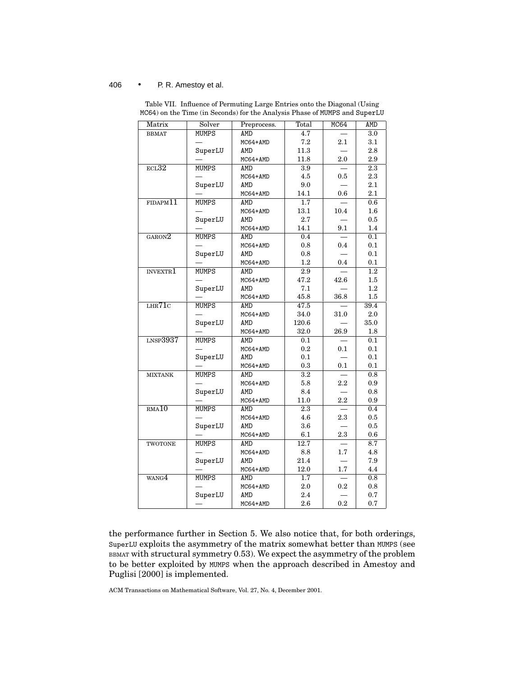| Matrix               | Solver       | Preprocess. | Total   | MC64    | AMD     |
|----------------------|--------------|-------------|---------|---------|---------|
| <b>BBMAT</b>         | <b>MUMPS</b> | AMD         | 4.7     |         | $3.0\,$ |
|                      |              | MC64+AMD    | 7.2     | $2.1\,$ | 3.1     |
|                      | SuperLU      | AMD         | 11.3    |         | 2.8     |
|                      |              | MC64+AMD    | 11.8    | 2.0     | 2.9     |
| ECL32                | <b>MUMPS</b> | AMD         | 3.9     |         | 2.3     |
|                      |              | MC64+AMD    | 4.5     | 0.5     | $2.3\,$ |
|                      | SuperLU      | AMD         | 9.0     |         | 2.1     |
|                      |              | MC64+AMD    | 14.1    | 0.6     | $2.1\,$ |
| FIDAPM <sub>11</sub> | <b>MUMPS</b> | <b>AMD</b>  | 1.7     |         | 0.6     |
|                      |              | MC64+AMD    | 13.1    | 10.4    | $1.6\,$ |
|                      | SuperLU      | AMD         | 2.7     |         | 0.5     |
|                      |              | MC64+AMD    | 14.1    | 9.1     | 1.4     |
| GARON2               | <b>MUMPS</b> | AMD         | 0.4     |         | 0.1     |
|                      |              | MC64+AMD    | 0.8     | 0.4     | 0.1     |
|                      | SuperLU      | AMD         | 0.8     |         | 0.1     |
|                      |              | MC64+AMD    | 1.2     | 0.4     | 0.1     |
| INVEXTR1             | <b>MUMPS</b> | AMD         | 2.9     |         | 1.2     |
|                      |              | MC64+AMD    | 47.2    | 42.6    | 1.5     |
|                      | SuperLU      | AMD         | 7.1     |         | $1.2\,$ |
|                      |              | MC64+AMD    | 45.8    | 36.8    | 1.5     |
| LHR71c               | <b>MUMPS</b> | AMD         | 47.5    |         | 39.4    |
|                      |              | MC64+AMD    | 34.0    | 31.0    | $2.0\,$ |
|                      | SuperLU      | AMD         | 120.6   |         | 35.0    |
|                      |              | MC64+AMD    | 32.0    | 26.9    | $1.8\,$ |
| LNSP3937             | <b>MUMPS</b> | AMD         | 0.1     |         | 0.1     |
|                      |              | MC64+AMD    | $0.2\,$ | 0.1     | 0.1     |
|                      | SuperLU      | AMD         | 0.1     |         | 0.1     |
|                      |              | MC64+AMD    | 0.3     | 0.1     | 0.1     |
| <b>MIXTANK</b>       | <b>MUMPS</b> | AMD         | 3.2     |         | 0.8     |
|                      |              | MC64+AMD    | 5.8     | 2.2     | 0.9     |
|                      | SuperLU      | AMD         | 8.4     |         | 0.8     |
|                      |              | MC64+AMD    | 11.0    | 2.2     | $0.9\,$ |
| RMA <sub>10</sub>    | <b>MUMPS</b> | AMD         | 2.3     |         | 0.4     |
|                      |              | MC64+AMD    | 4.6     | $2.3\,$ | 0.5     |
|                      | SuperLU      | AMD         | 3.6     |         | 0.5     |
|                      |              | MC64+AMD    | 6.1     | $2.3\,$ | $0.6\,$ |
| <b>TWOTONE</b>       | <b>MUMPS</b> | AMD         | 12.7    |         | 8.7     |
|                      |              | MC64+AMD    | 8.8     | 1.7     | 4.8     |
|                      | SuperLU      | AMD         | 21.4    |         | 7.9     |
|                      |              | MC64+AMD    | 12.0    | 1.7     | 4.4     |
| WANG4                | <b>MUMPS</b> | AMD         | 1.7     |         | 0.8     |
|                      |              | MC64+AMD    | 2.0     | $0.2\,$ | 0.8     |
|                      | SuperLU      | AMD         | 2.4     |         | 0.7     |
|                      |              | MC64+AMD    | 2.6     | 0.2     | 0.7     |

Table VII. Influence of Permuting Large Entries onto the Diagonal (Using MC64) on the Time (in Seconds) for the Analysis Phase of MUMPS and SuperLU

the performance further in Section 5. We also notice that, for both orderings, SuperLU exploits the asymmetry of the matrix somewhat better than MUMPS (see BBMAT with structural symmetry 0.53). We expect the asymmetry of the problem to be better exploited by MUMPS when the approach described in Amestoy and Puglisi [2000] is implemented.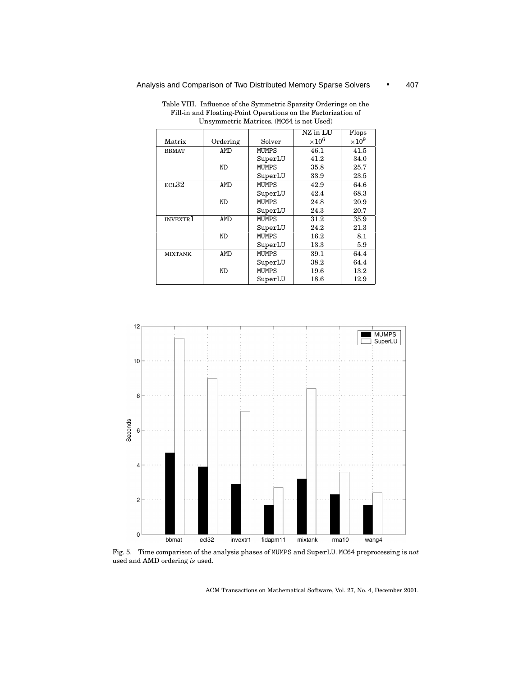|                      |            |              | NZ in LU      | Flops         |
|----------------------|------------|--------------|---------------|---------------|
| Matrix               | Ordering   | Solver       | $\times 10^6$ | $\times 10^9$ |
| <b>BBMAT</b>         | AMD        | <b>MUMPS</b> | 46.1          | 41.5          |
|                      |            | SuperLU      | 41.2          | 34.0          |
|                      | ND         | <b>MUMPS</b> | 35.8          | 25.7          |
|                      |            | SuperLU      | 33.9          | 23.5          |
| ECL32                | <b>AMD</b> | <b>MUMPS</b> | 42.9          | 64.6          |
|                      |            | SuperLU      | 42.4          | 68.3          |
|                      | ND         | <b>MUMPS</b> | 24.8          | 20.9          |
|                      |            | SuperLU      | 24.3          | 20.7          |
| INVEXTR <sub>1</sub> | <b>AMD</b> | <b>MUMPS</b> | 31.2          | 35.9          |
|                      |            | SuperLU      | 24.2          | 21.3          |
|                      | ND         | <b>MUMPS</b> | 16.2          | 8.1           |
|                      |            | SuperLU      | 13.3          | 5.9           |
| <b>MIXTANK</b>       | AMD        | <b>MUMPS</b> | 39.1          | 64.4          |
|                      |            | SuperLU      | 38.2          | 64.4          |
|                      | ND         | <b>MUMPS</b> | 19.6          | 13.2          |
|                      |            | SuperLU      | 18.6          | 12.9          |

Table VIII. Influence of the Symmetric Sparsity Orderings on the Fill-in and Floating-Point Operations on the Factorization of Unsymmetric Matrices. (MC64 is not Used)



Fig. 5. Time comparison of the analysis phases of MUMPS and SuperLU. MC64 preprocessing is *not* used and AMD ordering *is* used.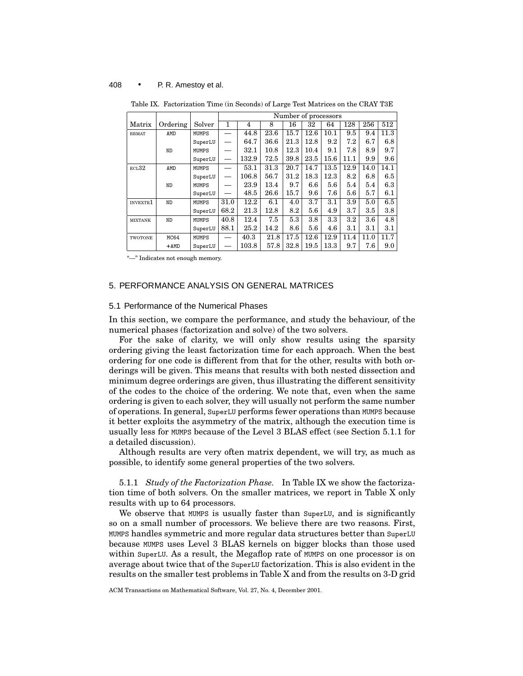|                |          |              |      |       |      |      | Number of processors |      |         |      |      |
|----------------|----------|--------------|------|-------|------|------|----------------------|------|---------|------|------|
| Matrix         | Ordering | Solver       | 1    | 4     | 8    | 16   | 32                   | 64   | 128     | 256  | 512  |
| <b>BBMAT</b>   | AMD      | <b>MUMPS</b> |      | 44.8  | 23.6 | 15.7 | 12.6                 | 10.1 | 9.5     | 9.4  | 11.3 |
|                |          | SuperLU      |      | 64.7  | 36.6 | 21.3 | 12.8                 | 9.2  | 7.2     | 6.7  | 6.8  |
|                | ND       | <b>MUMPS</b> |      | 32.1  | 10.8 | 12.3 | 10.4                 | 9.1  | 7.8     | 8.9  | 9.7  |
|                |          | SuperLU      |      | 132.9 | 72.5 | 39.8 | 23.5                 | 15.6 | 11.1    | 9.9  | 9.6  |
| ECL32          | AMD      | <b>MUMPS</b> |      | 53.1  | 31.3 | 20.7 | 14.7                 | 13.5 | 12.9    | 14.0 | 14.1 |
|                |          | SuperLU      |      | 106.8 | 56.7 | 31.2 | 18.3                 | 12.3 | 8.2     | 6.8  | 6.5  |
|                | ND       | <b>MUMPS</b> |      | 23.9  | 13.4 | 9.7  | 6.6                  | 5.6  | 5.4     | 5.4  | 6.3  |
|                |          | SuperLU      |      | 48.5  | 26.6 | 15.7 | 9.6                  | 7.6  | 5.6     | 5.7  | 6.1  |
| INVEXTR1       | ND       | <b>MUMPS</b> | 31.0 | 12.2  | 6.1  | 4.0  | 3.7                  | 3.1  | 3.9     | 5.0  | 6.5  |
|                |          | SuperLU      | 68.2 | 21.3  | 12.8 | 8.2  | 5.6                  | 4.9  | 3.7     | 3.5  | 3.8  |
| <b>MIXTANK</b> | ND       | <b>MUMPS</b> | 40.8 | 12.4  | 7.5  | 5.3  | 3.8                  | 3.3  | $3.2\,$ | 3.6  | 4.8  |
|                |          | SuperLU      | 88.1 | 25.2  | 14.2 | 8.6  | 5.6                  | 4.6  | 3.1     | 3.1  | 3.1  |
| <b>TWOTONE</b> | MC64     | <b>MUMPS</b> |      | 40.3  | 21.8 | 17.5 | 12.6                 | 12.9 | 11.4    | 11.0 | 11.7 |
|                | $+$ AMD  | SuperLU      |      | 103.8 | 57.8 | 32.8 | 19.5                 | 13.3 | 9.7     | 7.6  | 9.0  |

Table IX. Factorization Time (in Seconds) of Large Test Matrices on the CRAY T3E

"—" Indicates not enough memory.

## 5. PERFORMANCE ANALYSIS ON GENERAL MATRICES

#### 5.1 Performance of the Numerical Phases

In this section, we compare the performance, and study the behaviour, of the numerical phases (factorization and solve) of the two solvers.

For the sake of clarity, we will only show results using the sparsity ordering giving the least factorization time for each approach. When the best ordering for one code is different from that for the other, results with both orderings will be given. This means that results with both nested dissection and minimum degree orderings are given, thus illustrating the different sensitivity of the codes to the choice of the ordering. We note that, even when the same ordering is given to each solver, they will usually not perform the same number of operations. In general, SuperLU performs fewer operations than MUMPS because it better exploits the asymmetry of the matrix, although the execution time is usually less for MUMPS because of the Level 3 BLAS effect (see Section 5.1.1 for a detailed discussion).

Although results are very often matrix dependent, we will try, as much as possible, to identify some general properties of the two solvers.

5.1.1 *Study of the Factorization Phase.* In Table IX we show the factorization time of both solvers. On the smaller matrices, we report in Table X only results with up to 64 processors.

We observe that MUMPS is usually faster than SuperLU, and is significantly so on a small number of processors. We believe there are two reasons. First, MUMPS handles symmetric and more regular data structures better than SuperLU because MUMPS uses Level 3 BLAS kernels on bigger blocks than those used within SuperLU. As a result, the Megaflop rate of MUMPS on one processor is on average about twice that of the SuperLU factorization. This is also evident in the results on the smaller test problems in Table X and from the results on 3-D grid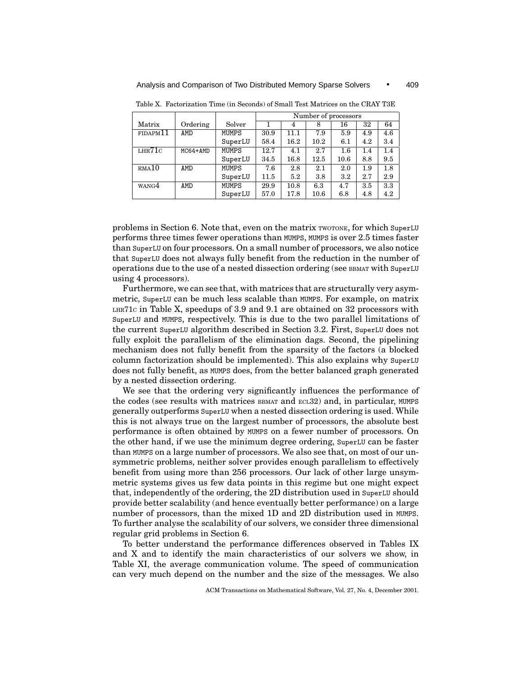|                      |          |              | Number of processors |      |      |         |     |     |  |
|----------------------|----------|--------------|----------------------|------|------|---------|-----|-----|--|
| Matrix               | Ordering | Solver       |                      | 4    | 8    | 16      | 32  | 64  |  |
| FIDAPM <sub>11</sub> | AMD      | MUMPS        | 30.9                 | 11.1 | 7.9  | 5.9     | 4.9 | 4.6 |  |
|                      |          | SuperLU      | 58.4                 | 16.2 | 10.2 | 6.1     | 4.2 | 3.4 |  |
| LHR71C               | MC64+AMD | <b>MUMPS</b> | 12.7                 | 4.1  | 2.7  | 1.6     | 1.4 | 1.4 |  |
|                      |          | SuperLU      | 34.5                 | 16.8 | 12.5 | 10.6    | 8.8 | 9.5 |  |
| RMA10                | AMD      | MUMPS        | 7.6                  | 2.8  | 2.1  | 2.0     | 1.9 | 1.8 |  |
|                      |          | SuperLU      | 11.5                 | 5.2  | 3.8  | $3.2\,$ | 2.7 | 2.9 |  |
| WANG4                | AMD      | MUMPS        | 29.9                 | 10.8 | 6.3  | 4.7     | 3.5 | 3.3 |  |
|                      |          | SuperLU      | 57.0                 | 17.8 | 10.6 | 6.8     | 4.8 | 4.2 |  |

Table X. Factorization Time (in Seconds) of Small Test Matrices on the CRAY T3E

problems in Section 6. Note that, even on the matrix TWOTONE, for which SuperLU performs three times fewer operations than MUMPS, MUMPS is over 2.5 times faster than SuperLU on four processors. On a small number of processors, we also notice that SuperLU does not always fully benefit from the reduction in the number of operations due to the use of a nested dissection ordering (see BBMAT with SuperLU using 4 processors).

Furthermore, we can see that, with matrices that are structurally very asymmetric, SuperLU can be much less scalable than MUMPS. For example, on matrix LHR71C in Table X, speedups of 3.9 and 9.1 are obtained on 32 processors with SuperLU and MUMPS, respectively. This is due to the two parallel limitations of the current SuperLU algorithm described in Section 3.2. First, SuperLU does not fully exploit the parallelism of the elimination dags. Second, the pipelining mechanism does not fully benefit from the sparsity of the factors (a blocked column factorization should be implemented). This also explains why SuperLU does not fully benefit, as MUMPS does, from the better balanced graph generated by a nested dissection ordering.

We see that the ordering very significantly influences the performance of the codes (see results with matrices BBMAT and ECL32) and, in particular, MUMPS generally outperforms SuperLU when a nested dissection ordering is used. While this is not always true on the largest number of processors, the absolute best performance is often obtained by MUMPS on a fewer number of processors. On the other hand, if we use the minimum degree ordering, SuperLU can be faster than MUMPS on a large number of processors. We also see that, on most of our unsymmetric problems, neither solver provides enough parallelism to effectively benefit from using more than 256 processors. Our lack of other large unsymmetric systems gives us few data points in this regime but one might expect that, independently of the ordering, the 2D distribution used in SuperLU should provide better scalability (and hence eventually better performance) on a large number of processors, than the mixed 1D and 2D distribution used in MUMPS. To further analyse the scalability of our solvers, we consider three dimensional regular grid problems in Section 6.

To better understand the performance differences observed in Tables IX and X and to identify the main characteristics of our solvers we show, in Table XI, the average communication volume. The speed of communication can very much depend on the number and the size of the messages. We also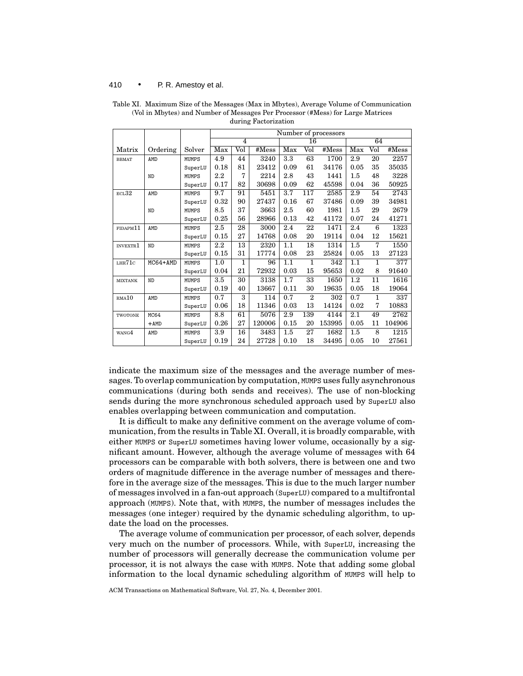|                      |                |              |         |              |        |                  |                | Number of processors |                  |     |        |
|----------------------|----------------|--------------|---------|--------------|--------|------------------|----------------|----------------------|------------------|-----|--------|
|                      |                |              |         | 4            |        |                  | 16             |                      |                  | 64  |        |
| Matrix               | Ordering       | Solver       | Max     | Vol          | #Mess  | Max              | Vol            | #Mess                | Max              | Vol | #Mess  |
| <b>BBMAT</b>         | AMD            | <b>MUMPS</b> | 4.9     | 44           | 3240   | $3.3\,$          | 63             | 1700                 | 2.9              | 20  | 2257   |
|                      |                | SuperLU      | 0.18    | 81           | 23412  | 0.09             | 61             | 34176                | 0.05             | 35  | 35035  |
|                      | ND             | <b>MUMPS</b> | $2.2\,$ | 7            | 2214   | 2.8              | 43             | 1441                 | $1.5\,$          | 48  | 3228   |
|                      |                | SuperLU      | 0.17    | 82           | 30698  | 0.09             | 62             | 45598                | 0.04             | 36  | 50925  |
| ECL32                | AMD            | <b>MUMPS</b> | 9.7     | 91           | 5451   | $3.\overline{7}$ | 117            | 2585                 | 2.9              | 54  | 2743   |
|                      |                | SuperLU      | 0.32    | 90           | 27437  | 0.16             | 67             | 37486                | 0.09             | 39  | 34981  |
|                      | N <sub>D</sub> | <b>MUMPS</b> | 8.5     | 37           | 3663   | 2.5              | 60             | 1981                 | 1.5              | 29  | 2679   |
|                      |                | SuperLU      | 0.25    | 56           | 28966  | 0.13             | 42             | 41172                | 0.07             | 24  | 41271  |
| FIDAPM <sub>11</sub> | AMD            | <b>MUMPS</b> | 2.5     | 28           | 3000   | 2.4              | 22             | 1471                 | 2.4              | 6   | 1323   |
|                      |                | SuperLU      | 0.15    | 27           | 14768  | 0.08             | 20             | 19114                | 0.04             | 12  | 15621  |
| INVEXTR1             | <b>ND</b>      | <b>MUMPS</b> | $2.2\,$ | 13           | 2320   | 1.1              | 18             | 1314                 | $1.\overline{5}$ | 7   | 1550   |
|                      |                | SuperLU      | 0.15    | 31           | 17774  | 0.08             | 23             | 25824                | 0.05             | 13  | 27123  |
| LHR71c               | MC64+AMD       | <b>MUMPS</b> | 1.0     | $\mathbf{1}$ | 96     | 1.1              | $\mathbf{1}$   | 342                  | 1.1              | 1   | 377    |
|                      |                | SuperLU      | 0.04    | 21           | 72932  | 0.03             | 15             | 95653                | 0.02             | 8   | 91640  |
| <b>MIXTANK</b>       | ND             | <b>MUMPS</b> | 3.5     | 30           | 3138   | 1.7              | 33             | 1650                 | 1.2              | 11  | 1616   |
|                      |                | SuperLU      | 0.19    | 40           | 13667  | 0.11             | 30             | 19635                | 0.05             | 18  | 19064  |
| RMA10                | <b>AMD</b>     | <b>MUMPS</b> | 0.7     | 3            | 114    | 0.7              | $\overline{2}$ | 302                  | 0.7              | 1   | 337    |
|                      |                | SuperLU      | 0.06    | 18           | 11346  | 0.03             | 13             | 14124                | 0.02             | 7   | 10883  |
| <b>TWOTONE</b>       | MC64           | <b>MUMPS</b> | 8.8     | 61           | 5076   | 2.9              | 139            | 4144                 | 2.1              | 49  | 2762   |
|                      | $+$ AMD        | SuperLU      | 0.26    | 27           | 120006 | 0.15             | 20             | 153995               | 0.05             | 11  | 104906 |
| WANG4                | AMD            | <b>MUMPS</b> | 3.9     | 16           | 3483   | $1.5\,$          | 27             | 1682                 | 1.5              | 8   | 1215   |
|                      |                | SuperLU      | 0.19    | 24           | 27728  | 0.10             | 18             | 34495                | 0.05             | 10  | 27561  |

Table XI. Maximum Size of the Messages (Max in Mbytes), Average Volume of Communication (Vol in Mbytes) and Number of Messages Per Processor (#Mess) for Large Matrices during Factorization

indicate the maximum size of the messages and the average number of messages. To overlap communication by computation, MUMPS uses fully asynchronous communications (during both sends and receives). The use of non-blocking sends during the more synchronous scheduled approach used by SuperLU also enables overlapping between communication and computation.

It is difficult to make any definitive comment on the average volume of communication, from the results in Table XI. Overall, it is broadly comparable, with either MUMPS or SuperLU sometimes having lower volume, occasionally by a significant amount. However, although the average volume of messages with 64 processors can be comparable with both solvers, there is between one and two orders of magnitude difference in the average number of messages and therefore in the average size of the messages. This is due to the much larger number of messages involved in a fan-out approach (SuperLU) compared to a multifrontal approach (MUMPS). Note that, with MUMPS, the number of messages includes the messages (one integer) required by the dynamic scheduling algorithm, to update the load on the processes.

The average volume of communication per processor, of each solver, depends very much on the number of processors. While, with SuperLU, increasing the number of processors will generally decrease the communication volume per processor, it is not always the case with MUMPS. Note that adding some global information to the local dynamic scheduling algorithm of MUMPS will help to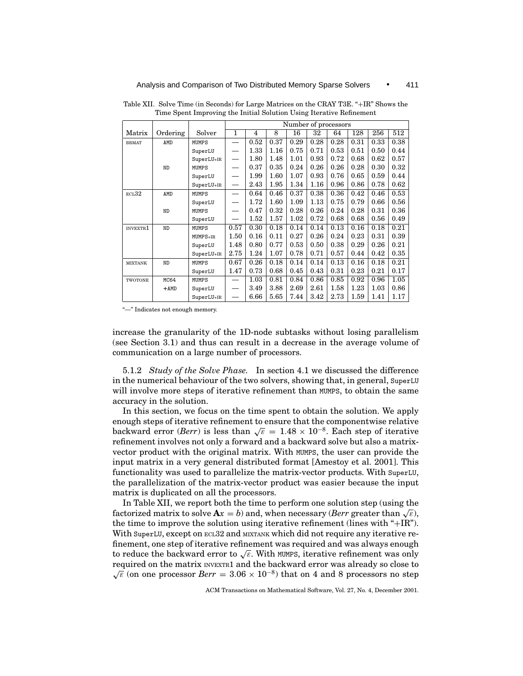|                |          |              |      |      |      |      |      | Number of processors |      |      |      |
|----------------|----------|--------------|------|------|------|------|------|----------------------|------|------|------|
| Matrix         | Ordering | Solver       | 1    | 4    | 8    | 16   | 32   | 64                   | 128  | 256  | 512  |
| <b>BBMAT</b>   | AMD      | <b>MUMPS</b> |      | 0.52 | 0.37 | 0.29 | 0.28 | 0.28                 | 0.31 | 0.33 | 0.38 |
|                |          | SuperLU      | —    | 1.33 | 1.16 | 0.75 | 0.71 | 0.53                 | 0.51 | 0.50 | 0.44 |
|                |          | SuperLU+IR   |      | 1.80 | 1.48 | 1.01 | 0.93 | 0.72                 | 0.68 | 0.62 | 0.57 |
|                | ND       | <b>MUMPS</b> |      | 0.37 | 0.35 | 0.24 | 0.26 | 0.26                 | 0.28 | 0.30 | 0.32 |
|                |          | SuperLU      |      | 1.99 | 1.60 | 1.07 | 0.93 | 0.76                 | 0.65 | 0.59 | 0.44 |
|                |          | SuperLU+IR   |      | 2.43 | 1.95 | 1.34 | 1.16 | 0.96                 | 0.86 | 0.78 | 0.62 |
| ECL32          | AMD      | <b>MUMPS</b> |      | 0.64 | 0.46 | 0.37 | 0.38 | 0.36                 | 0.42 | 0.46 | 0.53 |
|                |          | SuperLU      |      | 1.72 | 1.60 | 1.09 | 1.13 | 0.75                 | 0.79 | 0.66 | 0.56 |
|                | ND       | <b>MUMPS</b> |      | 0.47 | 0.32 | 0.28 | 0.26 | 0.24                 | 0.28 | 0.31 | 0.36 |
|                |          | SuperLU      |      | 1.52 | 1.57 | 1.02 | 0.72 | 0.68                 | 0.68 | 0.56 | 0.49 |
| INVEXTR1       | ND       | <b>MUMPS</b> | 0.57 | 0.30 | 0.18 | 0.14 | 0.14 | 0.13                 | 0.16 | 0.18 | 0.21 |
|                |          | MUMPS+IR     | 1.50 | 0.16 | 0.11 | 0.27 | 0.26 | 0.24                 | 0.23 | 0.31 | 0.39 |
|                |          | SuperLU      | 1.48 | 0.80 | 0.77 | 0.53 | 0.50 | 0.38                 | 0.29 | 0.26 | 0.21 |
|                |          | SuperLU+IR   | 2.75 | 1.24 | 1.07 | 0.78 | 0.71 | 0.57                 | 0.44 | 0.42 | 0.35 |
| <b>MIXTANK</b> | ND.      | <b>MUMPS</b> | 0.67 | 0.26 | 0.18 | 0.14 | 0.14 | 0.13                 | 0.16 | 0.18 | 0.21 |
|                |          | SuperLU      | 1.47 | 0.73 | 0.68 | 0.45 | 0.43 | 0.31                 | 0.23 | 0.21 | 0.17 |
| <b>TWOTONE</b> | MC64     | <b>MUMPS</b> |      | 1.03 | 0.81 | 0.84 | 0.86 | 0.85                 | 0.92 | 0.96 | 1.05 |
|                | $+$ AMD  | SuperLU      |      | 3.49 | 3.88 | 2.69 | 2.61 | 1.58                 | 1.23 | 1.03 | 0.86 |
|                |          | SuperLU+IR   |      | 6.66 | 5.65 | 7.44 | 3.42 | 2.73                 | 1.59 | 1.41 | 1.17 |

Table XII. Solve Time (in Seconds) for Large Matrices on the CRAY T3E. "+IR" Shows the Time Spent Improving the Initial Solution Using Iterative Refinement

"—" Indicates not enough memory.

increase the granularity of the 1D-node subtasks without losing parallelism (see Section 3.1) and thus can result in a decrease in the average volume of communication on a large number of processors.

5.1.2 *Study of the Solve Phase.* In section 4.1 we discussed the difference in the numerical behaviour of the two solvers, showing that, in general, SuperLU will involve more steps of iterative refinement than MUMPS, to obtain the same accuracy in the solution.

In this section, we focus on the time spent to obtain the solution. We apply enough steps of iterative refinement to ensure that the componentwise relative backward error (*Berr*) is less than  $\sqrt{\varepsilon} = 1.48 \times 10^{-8}$ . Each step of iterative refinement involves not only a forward and a backward solve but also a matrixvector product with the original matrix. With MUMPS, the user can provide the input matrix in a very general distributed format [Amestoy et al. 2001]. This functionality was used to parallelize the matrix-vector products. With SuperLU, the parallelization of the matrix-vector product was easier because the input matrix is duplicated on all the processors.

In Table XII, we report both the time to perform one solution step (using the factorized matrix to solve  $\mathbf{A}x = b$ ) and, when necessary (*Berr* greater than  $\sqrt{\varepsilon}$ ), the time to improve the solution using iterative refinement (lines with "+IR"). With SuperLU, except on ECL32 and MIXTANK which did not require any iterative refinement, one step of iterative refinement was required and was always enough to reduce the backward error to  $\sqrt{\varepsilon}$ . With MUMPS, iterative refinement was only required on the matrix INVEXTR1 and the backward error was already so close to  $\sqrt{\varepsilon}$  (on one processor *Berr* = 3.06 × 10<sup>-8</sup>) that on 4 and 8 processors no step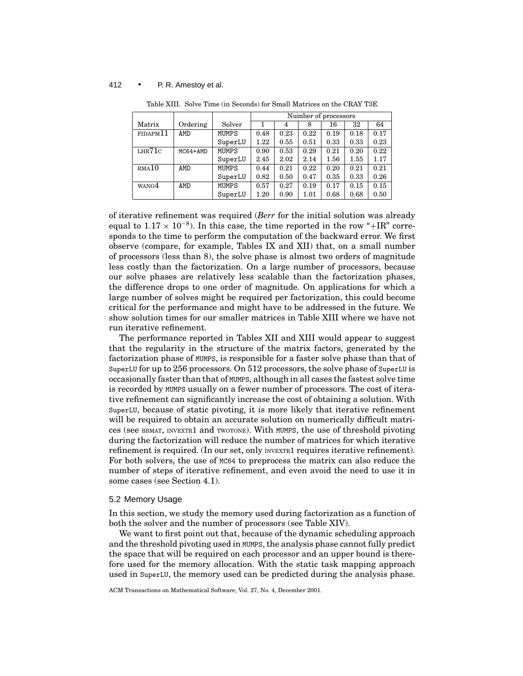|                      |          |              | Number of processors |      |      |      |      |      |
|----------------------|----------|--------------|----------------------|------|------|------|------|------|
| Matrix               | Ordering | Solver       |                      | 4    | 8    | 16   | 32   | 64   |
| FIDAPM <sub>11</sub> | AMD      | <b>MUMPS</b> | 0.48                 | 0.23 | 0.22 | 0.19 | 0.18 | 0.17 |
|                      |          | SuperLU      | 1.22                 | 0.55 | 0.51 | 0.33 | 0.33 | 0.23 |
| LHR71C               | MC64+AMD | <b>MUMPS</b> | 0.90                 | 0.53 | 0.29 | 0.21 | 0.20 | 0.22 |
|                      |          | SuperLU      | 2.45                 | 2.02 | 2.14 | 1.56 | 1.55 | 1.17 |
| RMA10                | AMD      | <b>MUMPS</b> | 0.44                 | 0.21 | 0.22 | 0.20 | 0.21 | 0.21 |
|                      |          | SuperLU      | 0.82                 | 0.50 | 0.47 | 0.35 | 0.33 | 0.26 |
| WANG4                | AMD      | <b>MUMPS</b> | 0.57                 | 0.27 | 0.19 | 0.17 | 0.15 | 0.15 |
|                      |          | SuperLU      | 1.20                 | 0.90 | 1.01 | 0.68 | 0.68 | 0.50 |

Table XIII. Solve Time (in Seconds) for Small Matrices on the CRAY T3E

of iterative refinement was required (*Berr* for the initial solution was already equal to  $1.17 \times 10^{-8}$ ). In this case, the time reported in the row "+IR" corresponds to the time to perform the computation of the backward error. We first observe (compare, for example, Tables IX and XII) that, on a small number of processors (less than 8), the solve phase is almost two orders of magnitude less costly than the factorization. On a large number of processors, because our solve phases are relatively less scalable than the factorization phases, the difference drops to one order of magnitude. On applications for which a large number of solves might be required per factorization, this could become critical for the performance and might have to be addressed in the future. We show solution times for our smaller matrices in Table XIII where we have not run iterative refinement.

The performance reported in Tables XII and XIII would appear to suggest that the regularity in the structure of the matrix factors, generated by the factorization phase of MUMPS, is responsible for a faster solve phase than that of SuperLU for up to 256 processors. On 512 processors, the solve phase of SuperLU is occasionally faster than that of MUMPS, although in all cases the fastest solve time is recorded by MUMPS usually on a fewer number of processors. The cost of iterative refinement can significantly increase the cost of obtaining a solution. With SuperLU, because of static pivoting, it is more likely that iterative refinement will be required to obtain an accurate solution on numerically difficult matrices (see BBMAT, INVEXTR1 and TWOTONE). With MUMPS, the use of threshold pivoting during the factorization will reduce the number of matrices for which iterative refinement is required. (In our set, only INVEXTR1 requires iterative refinement). For both solvers, the use of MC64 to preprocess the matrix can also reduce the number of steps of iterative refinement, and even avoid the need to use it in some cases (see Section 4.1).

#### 5.2 Memory Usage

In this section, we study the memory used during factorization as a function of both the solver and the number of processors (see Table XIV).

We want to first point out that, because of the dynamic scheduling approach and the threshold pivoting used in MUMPS, the analysis phase cannot fully predict the space that will be required on each processor and an upper bound is therefore used for the memory allocation. With the static task mapping approach used in SuperLU, the memory used can be predicted during the analysis phase.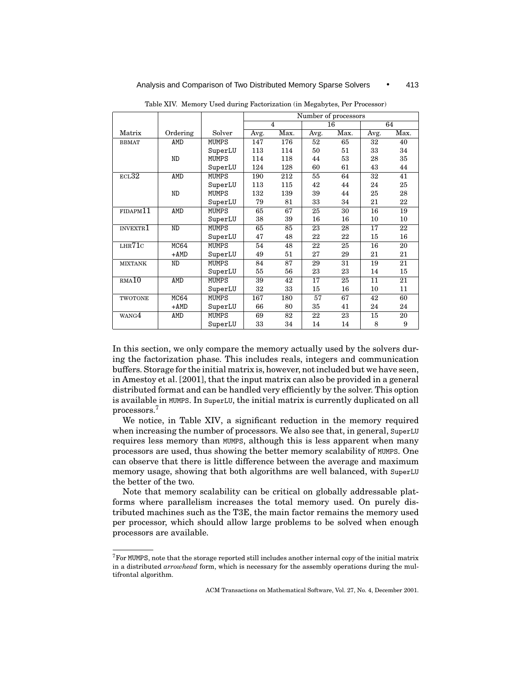|                |          |              | Number of processors |                         |      |      |      |      |
|----------------|----------|--------------|----------------------|-------------------------|------|------|------|------|
|                |          |              |                      | $\overline{\mathbf{4}}$ |      | 16   |      | 64   |
| Matrix         | Ordering | Solver       | Avg.                 | Max.                    | Avg. | Max. | Avg. | Max. |
| <b>BBMAT</b>   | AMD      | <b>MUMPS</b> | 147                  | 176                     | 52   | 65   | 32   | 40   |
|                |          | SuperLU      | 113                  | 114                     | 50   | 51   | 33   | 34   |
|                | ND       | MUMPS        | 114                  | 118                     | 44   | 53   | 28   | 35   |
|                |          | SuperLU      | 124                  | 128                     | 60   | 61   | 43   | 44   |
| ECL32          | AMD      | <b>MUMPS</b> | 190                  | 212                     | 55   | 64   | 32   | 41   |
|                |          | SuperLU      | 113                  | 115                     | 42   | 44   | 24   | 25   |
|                | ND       | MUMPS        | 132                  | 139                     | 39   | 44   | 25   | 28   |
|                |          | SuperLU      | 79                   | 81                      | 33   | 34   | 21   | 22   |
| FIDAPM11       | AMD      | <b>MUMPS</b> | 65                   | 67                      | 25   | 30   | 16   | 19   |
|                |          | SuperLU      | 38                   | 39                      | 16   | 16   | 10   | 10   |
| INVEXTR1       | ND       | <b>MUMPS</b> | 65                   | 85                      | 23   | 28   | 17   | 22   |
|                |          | SuperLU      | 47                   | 48                      | 22   | 22   | 15   | 16   |
| LHR71C         | MC64     | <b>MUMPS</b> | 54                   | 48                      | 22   | 25   | 16   | 20   |
|                | $+$ AMD  | SuperLU      | 49                   | 51                      | 27   | 29   | 21   | 21   |
| <b>MIXTANK</b> | ND       | <b>MUMPS</b> | 84                   | 87                      | 29   | 31   | 19   | 21   |
|                |          | SuperLU      | 55                   | 56                      | 23   | 23   | 14   | 15   |
| RMA10          | AMD      | <b>MUMPS</b> | 39                   | 42                      | 17   | 25   | 11   | 21   |
|                |          | SuperLU      | 32                   | 33                      | 15   | 16   | 10   | 11   |
| <b>TWOTONE</b> | MC64     | <b>MUMPS</b> | 167                  | 180                     | 57   | 67   | 42   | 60   |
|                | $+$ AMD  | SuperLU      | 66                   | 80                      | 35   | 41   | 24   | 24   |
| WANG4          | AMD      | <b>MUMPS</b> | 69                   | 82                      | 22   | 23   | 15   | 20   |
|                |          | SuperLU      | 33                   | 34                      | 14   | 14   | 8    | 9    |

Table XIV. Memory Used during Factorization (in Megabytes, Per Processor)

In this section, we only compare the memory actually used by the solvers during the factorization phase. This includes reals, integers and communication buffers. Storage for the initial matrix is, however, not included but we have seen, in Amestoy et al. [2001], that the input matrix can also be provided in a general distributed format and can be handled very efficiently by the solver. This option is available in MUMPS. In SuperLU, the initial matrix is currently duplicated on all processors.<sup>7</sup>

We notice, in Table XIV, a significant reduction in the memory required when increasing the number of processors. We also see that, in general, SuperLU requires less memory than MUMPS, although this is less apparent when many processors are used, thus showing the better memory scalability of MUMPS. One can observe that there is little difference between the average and maximum memory usage, showing that both algorithms are well balanced, with SuperLU the better of the two.

Note that memory scalability can be critical on globally addressable platforms where parallelism increases the total memory used. On purely distributed machines such as the T3E, the main factor remains the memory used per processor, which should allow large problems to be solved when enough processors are available.

<sup>7</sup>For MUMPS, note that the storage reported still includes another internal copy of the initial matrix in a distributed *arrowhead* form, which is necessary for the assembly operations during the multifrontal algorithm.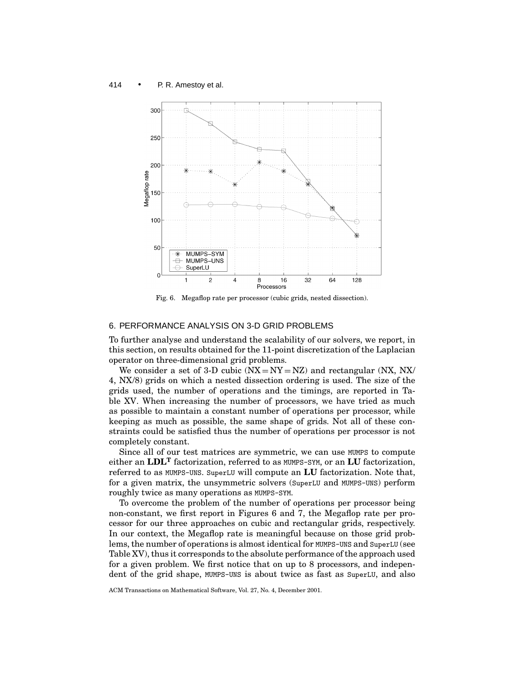

Fig. 6. Megaflop rate per processor (cubic grids, nested dissection).

#### 6. PERFORMANCE ANALYSIS ON 3-D GRID PROBLEMS

To further analyse and understand the scalability of our solvers, we report, in this section, on results obtained for the 11-point discretization of the Laplacian operator on three-dimensional grid problems.

We consider a set of 3-D cubic  $(NX = NY = NZ)$  and rectangular  $(NX, NX)$ 4, NX/8) grids on which a nested dissection ordering is used. The size of the grids used, the number of operations and the timings, are reported in Table XV. When increasing the number of processors, we have tried as much as possible to maintain a constant number of operations per processor, while keeping as much as possible, the same shape of grids. Not all of these constraints could be satisfied thus the number of operations per processor is not completely constant.

Since all of our test matrices are symmetric, we can use MUMPS to compute either an **LDL<sup>T</sup>** factorization, referred to as MUMPS-SYM, or an **LU** factorization, referred to as MUMPS-UNS. SuperLU will compute an **LU** factorization. Note that, for a given matrix, the unsymmetric solvers (SuperLU and MUMPS-UNS) perform roughly twice as many operations as MUMPS-SYM.

To overcome the problem of the number of operations per processor being non-constant, we first report in Figures 6 and 7, the Megaflop rate per processor for our three approaches on cubic and rectangular grids, respectively. In our context, the Megaflop rate is meaningful because on those grid problems, the number of operations is almost identical for MUMPS-UNS and SuperLU (see Table XV), thus it corresponds to the absolute performance of the approach used for a given problem. We first notice that on up to 8 processors, and independent of the grid shape, MUMPS-UNS is about twice as fast as SuperLU, and also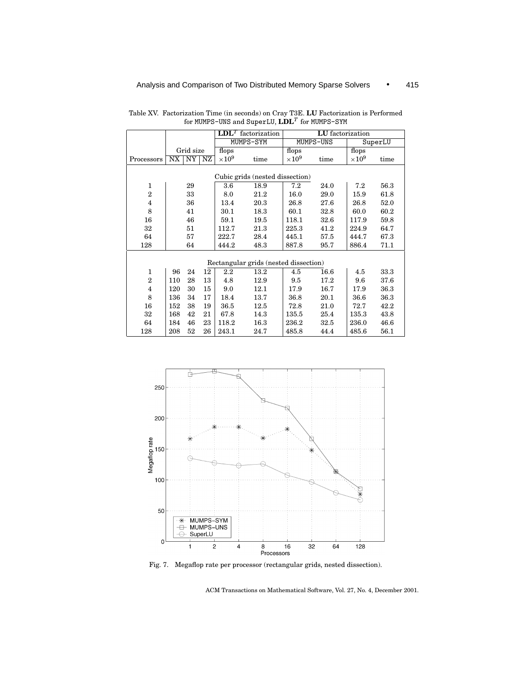|                         |     | $LDLT$ factorization |           | LU factorization |                                       |               |         |               |      |
|-------------------------|-----|----------------------|-----------|------------------|---------------------------------------|---------------|---------|---------------|------|
|                         |     |                      | MUMPS-SYM |                  | MUMPS-UNS                             |               | SuperLU |               |      |
|                         |     | Grid size            |           | flops            |                                       | flops         |         | flops         |      |
| Processors              | NX  | NT                   | NZ        | $\times 10^9$    | time                                  | $\times 10^9$ | time    | $\times 10^9$ | time |
|                         |     |                      |           |                  |                                       |               |         |               |      |
|                         |     |                      |           |                  | Cubic grids (nested dissection)       |               |         |               |      |
| $\mathbf{1}$            |     | 29                   |           | 3.6              | 18.9                                  | 7.2           | 24.0    | 7.2           | 56.3 |
| $\overline{2}$          |     | 33                   |           | 8.0              | 21.2                                  | 16.0          | 29.0    | 15.9          | 61.8 |
| $\overline{\mathbf{4}}$ |     | 36                   |           | 13.4             | 20.3                                  | 26.8          | 27.6    | 26.8          | 52.0 |
| 8                       |     | 41                   |           | 30.1             | 18.3                                  | 60.1          | 32.8    | 60.0          | 60.2 |
| 16                      |     | 46                   |           | 59.1             | 19.5                                  | 118.1         | 32.6    | 117.9         | 59.8 |
| 32                      |     | 51                   |           | 112.7            | 21.3                                  | 225.3         | 41.2    | 224.9         | 64.7 |
| 64                      |     | 57                   |           | 222.7            | 28.4                                  | 445.1         | 57.5    | 444.7         | 67.3 |
| 128                     |     | 64                   |           | 444.2            | 48.3                                  | 887.8         | 95.7    | 886.4         | 71.1 |
|                         |     |                      |           |                  |                                       |               |         |               |      |
|                         |     |                      |           |                  | Rectangular grids (nested dissection) |               |         |               |      |
| 1                       | 96  | 24                   | 12        | 2.2              | 13.2                                  | 4.5           | 16.6    | 4.5           | 33.3 |
| $\overline{2}$          | 110 | 28                   | 13        | 4.8              | 12.9                                  | 9.5           | 17.2    | 9.6           | 37.6 |
| $\overline{4}$          | 120 | 30                   | 15        | 9.0              | 12.1                                  | 17.9          | 16.7    | 17.9          | 36.3 |
| 8                       | 136 | 34                   | 17        | 18.4             | 13.7                                  | 36.8          | 20.1    | 36.6          | 36.3 |
| 16                      | 152 | 38                   | 19        | 36.5             | 12.5                                  | 72.8          | 21.0    | 72.7          | 42.2 |
| 32                      | 168 | 42                   | 21        | 67.8             | 14.3                                  | 135.5         | 25.4    | 135.3         | 43.8 |
| 64                      | 184 | 46                   | 23        | 118.2            | 16.3                                  | 236.2         | 32.5    | 236.0         | 46.6 |
| 128                     | 208 | 52                   | 26        | 243.1            | 24.7                                  | 485.8         | 44.4    | 485.6         | 56.1 |

Table XV. Factorization Time (in seconds) on Cray T3E. **LU** Factorization is Performed for MUMPS–UNS and SuperLU,  $\mathbf{LDL}^T$  for MUMPS–SYM



Fig. 7. Megaflop rate per processor (rectangular grids, nested dissection).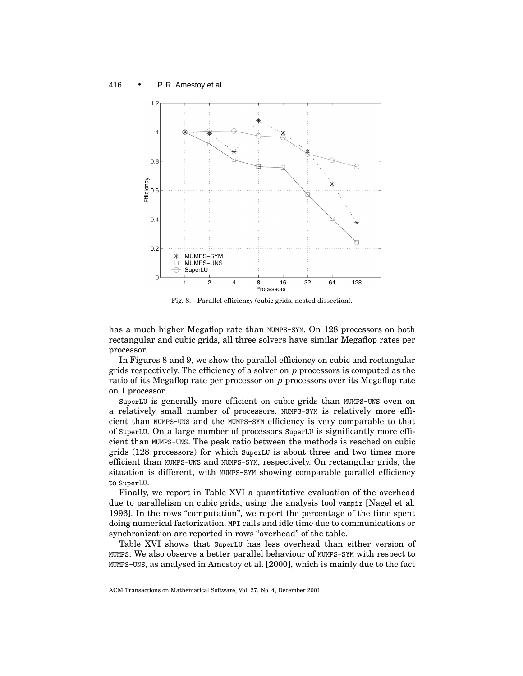

Fig. 8. Parallel efficiency (cubic grids, nested dissection).

has a much higher Megaflop rate than MUMPS-SYM. On 128 processors on both rectangular and cubic grids, all three solvers have similar Megaflop rates per processor.

In Figures 8 and 9, we show the parallel efficiency on cubic and rectangular grids respectively. The efficiency of a solver on *p* processors is computed as the ratio of its Megaflop rate per processor on *p* processors over its Megaflop rate on 1 processor.

SuperLU is generally more efficient on cubic grids than MUMPS-UNS even on a relatively small number of processors. MUMPS-SYM is relatively more efficient than MUMPS-UNS and the MUMPS-SYM efficiency is very comparable to that of SuperLU. On a large number of processors SuperLU is significantly more efficient than MUMPS-UNS. The peak ratio between the methods is reached on cubic grids (128 processors) for which SuperLU is about three and two times more efficient than MUMPS-UNS and MUMPS-SYM, respectively. On rectangular grids, the situation is different, with MUMPS-SYM showing comparable parallel efficiency to SuperLU.

Finally, we report in Table XVI a quantitative evaluation of the overhead due to parallelism on cubic grids, using the analysis tool vampir [Nagel et al. 1996]. In the rows "computation", we report the percentage of the time spent doing numerical factorization. MPI calls and idle time due to communications or synchronization are reported in rows "overhead" of the table.

Table XVI shows that SuperLU has less overhead than either version of MUMPS. We also observe a better parallel behaviour of MUMPS-SYM with respect to MUMPS-UNS, as analysed in Amestoy et al. [2000], which is mainly due to the fact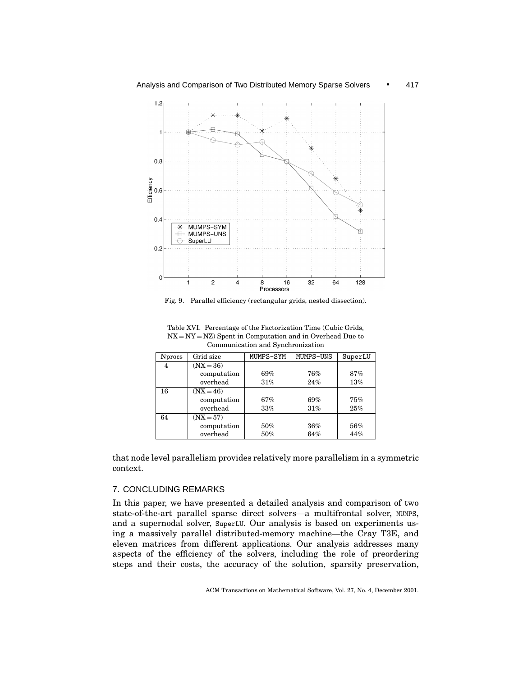

Analysis and Comparison of Two Distributed Memory Sparse Solvers • 417

Fig. 9. Parallel efficiency (rectangular grids, nested dissection).

| Table XVI. Percentage of the Factorization Time (Cubic Grids, |
|---------------------------------------------------------------|
| $NX = NY = NZ$ ) Spent in Computation and in Overhead Due to  |
| Communication and Synchronization                             |

| <b>N</b> procs | Grid size   | MUMPS-SYM | MUMPS-UNS | SuperLU |
|----------------|-------------|-----------|-----------|---------|
| 4              | $(NX = 36)$ |           |           |         |
|                | computation | 69%       | 76%       | 87%     |
|                | overhead    | 31%       | 24%       | 13%     |
| 16             | $(NX = 46)$ |           |           |         |
|                | computation | $67\%$    | 69%       | $75\%$  |
|                | overhead    | 33%       | 31%       | 25%     |
| 64             | $(NX = 57)$ |           |           |         |
|                | computation | $50\%$    | $36\%$    | 56%     |
|                | overhead    | 50%       | 64%       | 44%     |

that node level parallelism provides relatively more parallelism in a symmetric context.

## 7. CONCLUDING REMARKS

In this paper, we have presented a detailed analysis and comparison of two state-of-the-art parallel sparse direct solvers—a multifrontal solver, MUMPS, and a supernodal solver, SuperLU. Our analysis is based on experiments using a massively parallel distributed-memory machine—the Cray T3E, and eleven matrices from different applications. Our analysis addresses many aspects of the efficiency of the solvers, including the role of preordering steps and their costs, the accuracy of the solution, sparsity preservation,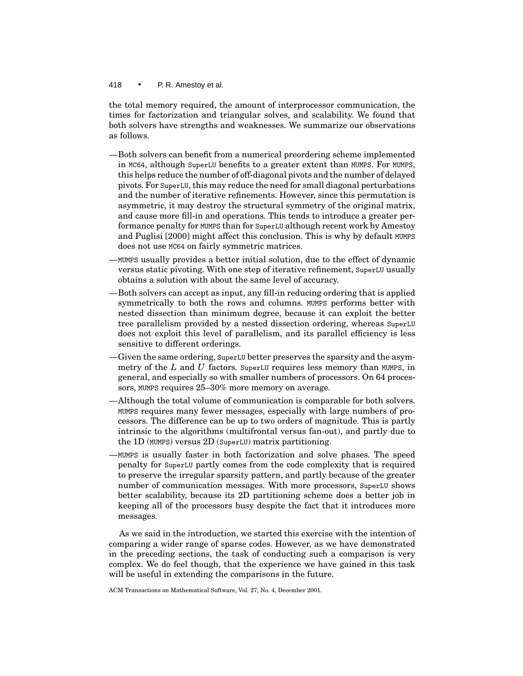the total memory required, the amount of interprocessor communication, the times for factorization and triangular solves, and scalability. We found that both solvers have strengths and weaknesses. We summarize our observations as follows.

- —Both solvers can benefit from a numerical preordering scheme implemented in MC64, although SuperLU benefits to a greater extent than MUMPS. For MUMPS, this helps reduce the number of off-diagonal pivots and the number of delayed pivots. For SuperLU, this may reduce the need for small diagonal perturbations and the number of iterative refinements. However, since this permutation is asymmetric, it may destroy the structural symmetry of the original matrix, and cause more fill-in and operations. This tends to introduce a greater performance penalty for MUMPS than for SuperLU although recent work by Amestoy and Puglisi [2000] might affect this conclusion. This is why by default MUMPS does not use MC64 on fairly symmetric matrices.
- —MUMPS usually provides a better initial solution, due to the effect of dynamic versus static pivoting. With one step of iterative refinement, SuperLU usually obtains a solution with about the same level of accuracy.
- —Both solvers can accept as input, any fill-in reducing ordering that is applied symmetrically to both the rows and columns. MUMPS performs better with nested dissection than minimum degree, because it can exploit the better tree parallelism provided by a nested dissection ordering, whereas SuperLU does not exploit this level of parallelism, and its parallel efficiency is less sensitive to different orderings.
- —Given the same ordering, SuperLU better preserves the sparsity and the asymmetry of the *L* and *U* factors. SuperLU requires less memory than MUMPS, in general, and especially so with smaller numbers of processors. On 64 processors, MUMPS requires 25–30% more memory on average.
- —Although the total volume of communication is comparable for both solvers. MUMPS requires many fewer messages, especially with large numbers of processors. The difference can be up to two orders of magnitude. This is partly intrinsic to the algorithms (multifrontal versus fan-out), and partly due to the 1D (MUMPS) versus 2D (SuperLU) matrix partitioning.
- —MUMPS is usually faster in both factorization and solve phases. The speed penalty for SuperLU partly comes from the code complexity that is required to preserve the irregular sparsity pattern, and partly because of the greater number of communication messages. With more processors, SuperLU shows better scalability, because its 2D partitioning scheme does a better job in keeping all of the processors busy despite the fact that it introduces more messages.

As we said in the introduction, we started this exercise with the intention of comparing a wider range of sparse codes. However, as we have demonstrated in the preceding sections, the task of conducting such a comparison is very complex. We do feel though, that the experience we have gained in this task will be useful in extending the comparisons in the future.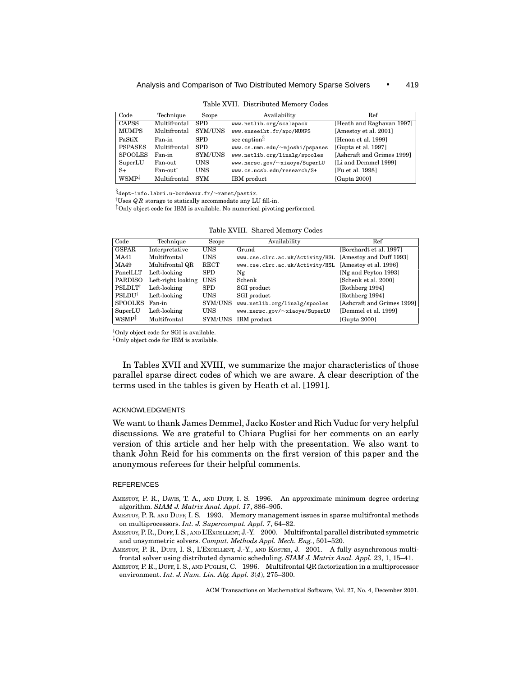| Code              | Technique            | Scope      | Availability                   | Ref                        |
|-------------------|----------------------|------------|--------------------------------|----------------------------|
| <b>CAPSS</b>      | Multifrontal         | <b>SPD</b> | www.netlib.org/scalapack       | [Heath and Raghavan 1997]  |
| <b>MUMPS</b>      | Multifrontal         | SYM/UNS    | www.enseeiht.fr/apo/MUMPS      | [Amestoy et al. 2001]      |
| PaStiX            | Fan-in               | <b>SPD</b> | see caption <sup>§</sup>       | Henon et al. 1999]         |
| <b>PSPASES</b>    | Multifrontal         | <b>SPD</b> | www.cs. um.edu/~mjoshi/pspases | [Gupta et al. 1997]        |
| <b>SPOOLES</b>    | Fan-in               | SYM/UNS    | www.netlib.org/linalg/spooles  | [Ashcraft and Grimes 1999] |
| SuperLU           | Fan-out              | <b>UNS</b> | www.nersc.gov/~xiaoye/SuperLU  | Li and Demmel 1999]        |
| $S+$              | Fan-out <sup>†</sup> | <b>UNS</b> | www.cs.ucsb.edu/research/S+    | [Fu et al. 1998]           |
| WSMP <sup>I</sup> | Multifrontal         | <b>SYM</b> | <b>IBM</b> product             | [Gupta 2000]               |

Table XVII. Distributed Memory Codes

§dept-info.labri.u-bordeaux.fr/∼ramet/pastix.

†Uses *Q R* storage to statically accommodate any LU fill-in.

‡Only object code for IBM is available. No numerical pivoting performed.

|  | Table XVIII. Shared Memory Codes |  |
|--|----------------------------------|--|
|--|----------------------------------|--|

| Code                       | Technique          | Scope       | Availability                    | Ref                        |
|----------------------------|--------------------|-------------|---------------------------------|----------------------------|
| <b>GSPAR</b>               | Interpretative     | UNS         | Grund                           | [Borchardt et al. 1997]    |
| <b>MA41</b>                | Multifrontal       | UNS.        | www.cse.clrc.ac.uk/Activity/HSL | [Amestoy and Duff 1993]    |
| <b>MA49</b>                | Multifrontal QR    | <b>RECT</b> | www.cse.clrc.ac.uk/Activity/HSL | [Amestoy et al. 1996]      |
| PanelLLT                   | Left-looking       | <b>SPD</b>  | Ng                              | [Ng and Peyton 1993]       |
| <b>PARDISO</b>             | Left-right looking | <b>UNS</b>  | Schenk                          | [Schenk et al. 2000]       |
| <b>PSLDLT</b> <sup>†</sup> | Left-looking       | <b>SPD</b>  | SGI product                     | [Rothberg 1994]            |
| <b>PSLDU</b>               | Left-looking       | <b>UNS</b>  | SGI product                     | [Rothberg 1994]            |
| <b>SPOOLES</b>             | Fan-in             | SYM/UNS     | www.netlib.org/linalg/spooles   | [Ashcraft and Grimes 1999] |
| SuperLU                    | Left-looking       | <b>UNS</b>  | www.nersc.gov/~xiaoye/SuperLU   | [Demmel et al. 1999]       |
| $WSMP^{\ddagger}$          | Multifrontal       | SYM/UNS     | IBM product                     | [Gupta 2000]               |

†Only object code for SGI is available.

‡Only object code for IBM is available.

In Tables XVII and XVIII, we summarize the major characteristics of those parallel sparse direct codes of which we are aware. A clear description of the terms used in the tables is given by Heath et al. [1991].

#### ACKNOWLEDGMENTS

We want to thank James Demmel, Jacko Koster and Rich Vuduc for very helpful discussions. We are grateful to Chiara Puglisi for her comments on an early version of this article and her help with the presentation. We also want to thank John Reid for his comments on the first version of this paper and the anonymous referees for their helpful comments.

#### REFERENCES

- AMESTOY, P. R., DAVIS, T. A., AND DUFF, I. S. 1996. An approximate minimum degree ordering algorithm. *SIAM J. Matrix Anal. Appl. 17*, 886–905.
- AMESTOY, P. R. AND DUFF, I. S. 1993. Memory management issues in sparse multifrontal methods on multiprocessors. *Int. J. Supercomput. Appl. 7*, 64–82.
- AMESTOY, P. R., DUFF, I. S., AND L'EXCELLENT, J.-Y. 2000. Multifrontal parallel distributed symmetric and unsymmetric solvers. *Comput. Methods Appl. Mech. Eng.*, 501–520.
- AMESTOY, P. R., DUFF, I. S., L'EXCELLENT, J.-Y., AND KOSTER, J. 2001. A fully asynchronous multifrontal solver using distributed dynamic scheduling. *SIAM J. Matrix Anal. Appl. 23*, 1, 15–41.
- AMESTOY, P. R., DUFF, I. S., AND PUGLISI, C. 1996. Multifrontal QR factorization in a multiprocessor environment. *Int. J. Num. Lin. Alg. Appl. 3*(*4*), 275–300.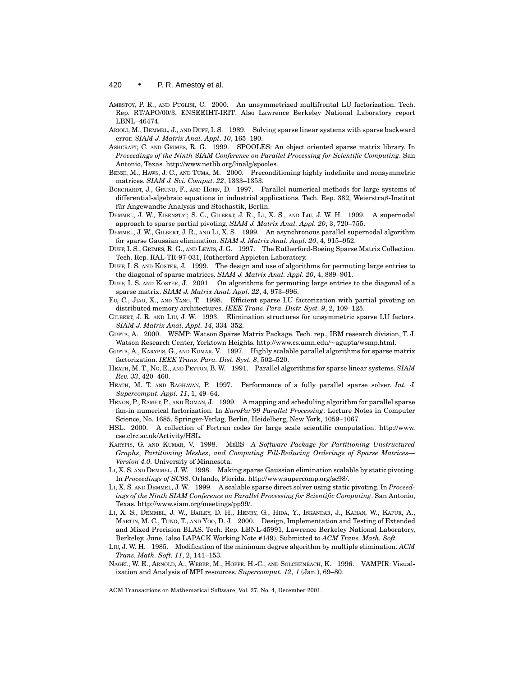- AMESTOY, P. R., AND PUGLISI, C. 2000. An unsymmetrized multifrontal LU factorization. Tech. Rep. RT/APO/00/3, ENSEEIHT-IRIT. Also Lawrence Berkeley National Laboratory report LBNL–46474.
- ARIOLI, M., DEMMRL, J., AND DUFF, I. S. 1989. Solving sparse linear systems with sparse backward error. *SIAM J. Matrix Anal. Appl*. *10*, 165–190.
- ASHCRAFT, C. AND GRIMES, R. G. 1999. SPOOLES: An object oriented sparse matrix library. In *Proceedings of the Ninth SIAM Conference on Parallel Processing for Scientific Computing*. San Antonio, Texas. http://www.netlib.org/linalg/spooles.
- BENZI, M., HAWS, J. C., AND TUMA, M. 2000. Preconditioning highly indefinite and nonsymmetric matrices. *SIAM J. Sci. Comput. 22*, 1333–1353.
- BORCHARDT, J., GRUND, F., AND HORN, D. 1997. Parallel numerical methods for large systems of differential-algebraic equations in industrial applications. Tech. Rep. 382, Weierstraβ-Institut für Angewandte Analysis und Stochastik, Berlin.
- DEMMEL, J. W., EISENSTAT, S. C., GILBERT, J. R., LI, X. S., AND LIU, J. W. H. 1999. A supernodal approach to sparse partial pivoting. *SIAM J. Matrix Anal. Appl. 20*, 3, 720–755.
- DEMMEL, J. W., GILBERT, J. R., AND LI, X. S. 1999. An asynchronous parallel supernodal algorithm for sparse Gaussian elimination. *SIAM J. Matrix Anal. Appl. 20*, 4, 915–952.
- DUFF, I. S., GRIMES, R. G., AND LEWIS, J. G. 1997. The Rutherford-Boeing Sparse Matrix Collection. Tech. Rep. RAL-TR-97-031, Rutherford Appleton Laboratory.
- DUFF, I. S. AND KOSTER, J. 1999. The design and use of algorithms for permuting large entries to the diagonal of sparse matrices. *SIAM J. Matrix Anal. Appl. 20*, 4, 889–901.
- DUFF, I. S. AND KOSTER, J. 2001. On algorithms for permuting large entries to the diagonal of a sparse matrix. *SIAM J. Matrix Anal. Appl. 22*, 4, 973–996.
- FU, C., JIAO, X., AND YANG, T. 1998. Efficient sparse LU factorization with partial pivoting on distributed memory architectures. *IEEE Trans. Para. Distr. Syst. 9*, 2, 109–125.
- GILBERT, J. R. AND LIU, J. W. 1993. Elimination structures for unsymmetric sparse LU factors. *SIAM J. Matrix Anal. Appl. 14*, 334–352.
- GUPTA, A. 2000. WSMP: Watson Sparse Matrix Package. Tech. rep., IBM research division, T. J. Watson Research Center, Yorktown Heights. http://www.cs.umn.edu/∼agupta/wsmp.html.
- GUPTA, A., KARYPIS, G., AND KUMAR, V. 1997. Highly scalable parallel algorithms for sparse matrix factorization. *IEEE Trans. Para. Dist. Syst. 8*, 502–520.
- HEATH, M. T., NG, E., AND PEYTON, B. W. 1991. Parallel algorithms for sparse linear systems. *SIAM Rev. 33*, 420–460.
- HEATH, M. T. AND RAGHAVAN, P. 1997. Performance of a fully parallel sparse solver. *Int. J. Supercomput. Appl. 11*, 1, 49–64.
- HENON, P., RAMET, P., AND ROMAN, J. 1999. A mapping and scheduling algorithm for parallel sparse fan-in numerical factorization. In *EuroPar'99 Parallel Processing*. Lecture Notes in Computer Science, No. 1685. Springer-Verlag, Berlin, Heidelberg, New York, 1059–1067.
- HSL. 2000. A collection of Fortran codes for large scale scientific computation. http://www. cse.clrc.ac.uk/Activity/HSL.
- KARYPIS, G. AND KUMAR, V. 1998. METIS—*A Software Package for Partitioning Unstructured Graphs*, *Partitioning Meshes*, *and Computing Fill-Reducing Orderings of Sparse Matrices— Version 4.0*. University of Minnesota.
- LI, X. S. AND DEMMEL, J. W. 1998. Making sparse Gaussian elimination scalable by static pivoting. In *Proceedings of SC98*. Orlando, Florida. http://www.supercomp.org/sc98/.
- LI, X. S. AND DEMMEL, J. W. 1999. A scalable sparse direct solver using static pivoting. In *Proceedings of the Ninth SIAM Conference on Parallel Processing for Scientific Computing*. San Antonio, Texas. http://www.siam.org/meetings/pp99/.
- LI, X. S., DEMMEL, J. W., BAILEY, D. H., HENRY, G., HIDA, Y., ISKANDAR, J., KAHAN, W., KAPUR, A., MARTIN, M. C., TUNG, T., AND YOO, D. J. 2000. Design, Implementation and Testing of Extended and Mixed Precision BLAS. Tech. Rep. LBNL-45991, Lawrence Berkeley National Laboratory, Berkeley. June. (also LAPACK Working Note #149). Submitted to *ACM Trans. Math. Soft.*
- LIU, J. W. H. 1985. Modification of the minimum degree algorithm by multiple elimination. *ACM Trans. Math. Soft. 11*, 2, 141–153.
- NAGEL, W. E., ARNOLD, A., WEBER, M., HOPPE, H.-C., AND SOLCHENRACH, K. 1996. VAMPIR: Visualization and Analysis of MPI resources. *Supercomput. 12*, *1* (Jan.), 69–80.